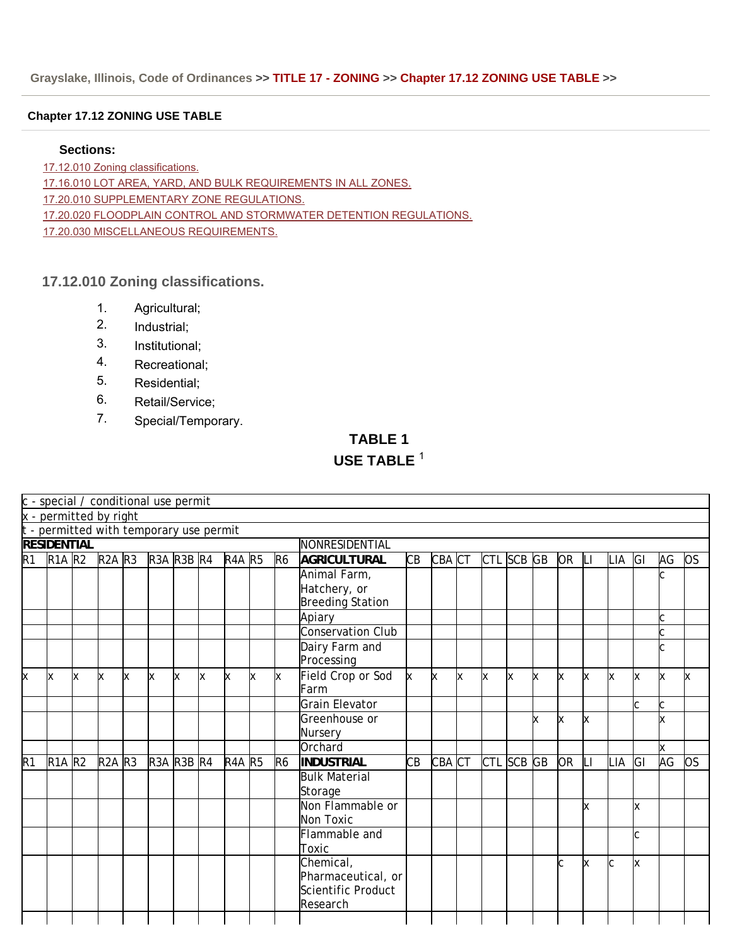### **Chapter 17.12 ZONING USE TABLE**

### **Sections:**

17.12.010 Zoning classifications.

17.16.010 LOT AREA, YARD, AND BULK REQUIREMENTS IN ALL ZONES.

17.20.010 SUPPLEMENTARY ZONE REGULATIONS.

17.20.020 FLOODPLAIN CONTROL AND STORMWATER DETENTION REGULATIONS.

17.20.030 MISCELLANEOUS REQUIREMENTS.

### **17.12.010 Zoning classifications.**

- 1. Agricultural;
- 2. Industrial;
- 3. Institutional;
- 4. Recreational;
- 5. Residential;
- 6. Retail/Service;
- 7. Special/Temporary.

**TABLE 1**

# **USE TABLE** <sup>1</sup>

|          | c - special / conditional use permit    |   |                                           |     |                  |     |          |               |   |                |                         |    |          |          |            |          |   |           |           |     |           |    |           |
|----------|-----------------------------------------|---|-------------------------------------------|-----|------------------|-----|----------|---------------|---|----------------|-------------------------|----|----------|----------|------------|----------|---|-----------|-----------|-----|-----------|----|-----------|
|          | x - permitted by right                  |   |                                           |     |                  |     |          |               |   |                |                         |    |          |          |            |          |   |           |           |     |           |    |           |
|          | t - permitted with temporary use permit |   |                                           |     |                  |     |          |               |   |                |                         |    |          |          |            |          |   |           |           |     |           |    |           |
|          | <b>RESIDENTIAL</b>                      |   |                                           |     |                  |     |          |               |   |                | NONRESIDENTIAL          |    |          |          |            |          |   |           |           |     |           |    |           |
| R1       | <b>R1A R2</b>                           |   | $\overline{\mathsf{R}}$ 2A $\mathsf{R}$ 3 |     | $R3A$ $R3B$ $R4$ |     |          | <b>R4A R5</b> |   | R <sub>6</sub> | <b>AGRICULTURAL</b>     | CВ | CBA CT   |          | CTL SCB GB |          |   | <b>OR</b> | <b>LI</b> | LIA | <b>GI</b> | AG | <b>OS</b> |
|          |                                         |   |                                           |     |                  |     |          |               |   |                | Animal Farm,            |    |          |          |            |          |   |           |           |     |           |    |           |
|          |                                         |   |                                           |     |                  |     |          |               |   |                | Hatchery, or            |    |          |          |            |          |   |           |           |     |           |    |           |
|          |                                         |   |                                           |     |                  |     |          |               |   |                | <b>Breeding Station</b> |    |          |          |            |          |   |           |           |     |           |    |           |
|          |                                         |   |                                           |     |                  |     |          |               |   |                | Apiary                  |    |          |          |            |          |   |           |           |     |           |    |           |
|          |                                         |   |                                           |     |                  |     |          |               |   |                | Conservation Club       |    |          |          |            |          |   |           |           |     |           |    |           |
|          |                                         |   |                                           |     |                  |     |          |               |   |                | Dairy Farm and          |    |          |          |            |          |   |           |           |     |           |    |           |
|          |                                         |   |                                           |     |                  |     |          |               |   |                | Processing              |    |          |          |            |          |   |           |           |     |           |    |           |
| $\times$ | x                                       | X | <b>x</b>                                  | lx. | x                | lx. | <b>x</b> | <b>x</b>      | X | X              | Field Crop or Sod       | k. | <b>x</b> | <b>x</b> | <b>x</b>   | <b>x</b> | x | X         | X         | X   | lx.       | x  | lx.       |
|          |                                         |   |                                           |     |                  |     |          |               |   |                | Farm                    |    |          |          |            |          |   |           |           |     |           |    |           |
|          |                                         |   |                                           |     |                  |     |          |               |   |                | Grain Elevator          |    |          |          |            |          |   |           |           |     | lC.       |    |           |
|          |                                         |   |                                           |     |                  |     |          |               |   |                | Greenhouse or           |    |          |          |            |          |   | x         | lχ        |     |           |    |           |
|          |                                         |   |                                           |     |                  |     |          |               |   |                | Nursery                 |    |          |          |            |          |   |           |           |     |           |    |           |
|          |                                         |   |                                           |     |                  |     |          |               |   |                | Orchard                 |    |          |          |            |          |   |           |           |     |           | x  |           |
| R1       | <b>R1A R2</b>                           |   | $R2A$ $R3$                                |     | $R3A$ $R3B$ $R4$ |     |          | <b>R4A R5</b> |   | R <sub>6</sub> | <b>INDUSTRIAL</b>       | CВ | CBA CT   |          | CTL SCB GB |          |   | <b>OR</b> | LI        | LIA | GI        | AG | OS.       |
|          |                                         |   |                                           |     |                  |     |          |               |   |                | <b>Bulk Material</b>    |    |          |          |            |          |   |           |           |     |           |    |           |
|          |                                         |   |                                           |     |                  |     |          |               |   |                | Storage                 |    |          |          |            |          |   |           |           |     |           |    |           |
|          |                                         |   |                                           |     |                  |     |          |               |   |                | Non Flammable or        |    |          |          |            |          |   |           | lχ        |     | lχ        |    |           |
|          |                                         |   |                                           |     |                  |     |          |               |   |                | Non Toxic               |    |          |          |            |          |   |           |           |     |           |    |           |
|          |                                         |   |                                           |     |                  |     |          |               |   |                | Flammable and           |    |          |          |            |          |   |           |           |     | lc.       |    |           |
|          |                                         |   |                                           |     |                  |     |          |               |   |                | Toxic                   |    |          |          |            |          |   |           |           |     |           |    |           |
|          |                                         |   |                                           |     |                  |     |          |               |   |                | Chemical,               |    |          |          |            |          |   |           | Ιx        | Ċ   | x         |    |           |
|          |                                         |   |                                           |     |                  |     |          |               |   |                | Pharmaceutical, or      |    |          |          |            |          |   |           |           |     |           |    |           |
|          |                                         |   |                                           |     |                  |     |          |               |   |                | Scientific Product      |    |          |          |            |          |   |           |           |     |           |    |           |
|          |                                         |   |                                           |     |                  |     |          |               |   |                | Research                |    |          |          |            |          |   |           |           |     |           |    |           |
|          |                                         |   |                                           |     |                  |     |          |               |   |                |                         |    |          |          |            |          |   |           |           |     |           |    |           |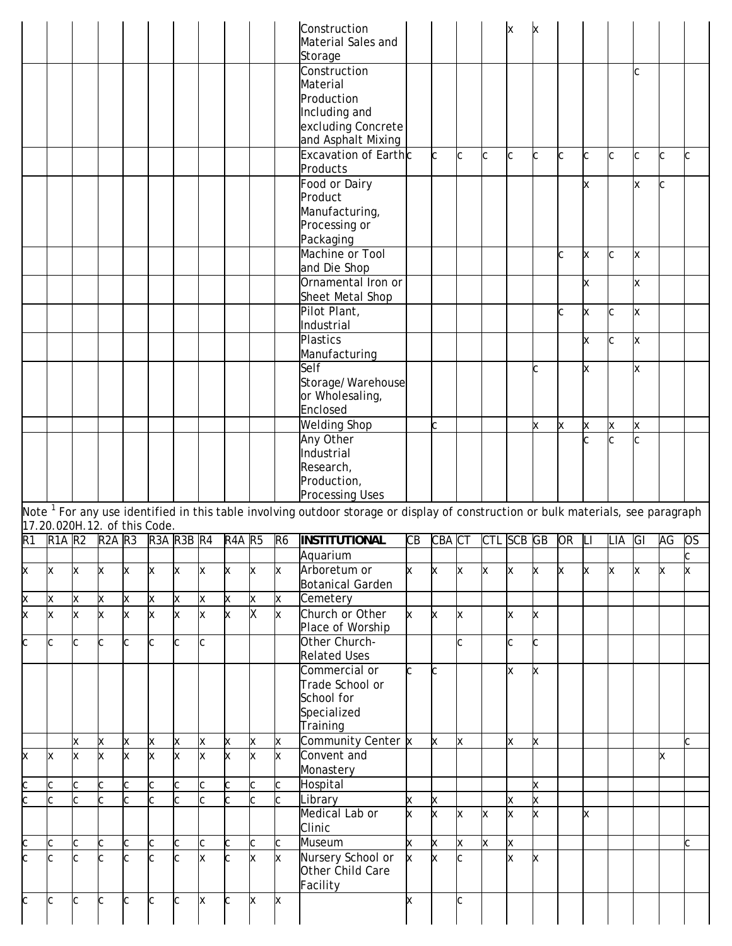|                                                                                                                  |                              |   |            |    |                  |   |     |               |                         |                | Construction<br>Material Sales and<br>Storage                                                                                                |        |         |   |   |            |        |       |    |                     |     |    |    |
|------------------------------------------------------------------------------------------------------------------|------------------------------|---|------------|----|------------------|---|-----|---------------|-------------------------|----------------|----------------------------------------------------------------------------------------------------------------------------------------------|--------|---------|---|---|------------|--------|-------|----|---------------------|-----|----|----|
|                                                                                                                  |                              |   |            |    |                  |   |     |               |                         |                | Construction<br>Material<br>Production<br>Including and<br>excluding Concrete<br>and Asphalt Mixing                                          |        |         |   |   |            |        |       |    |                     | Iс  |    |    |
|                                                                                                                  |                              |   |            |    |                  |   |     |               |                         |                | Excavation of Earthc<br>Products                                                                                                             |        | C       | C | C | c          |        | C     |    | C                   | IС  |    |    |
|                                                                                                                  |                              |   |            |    |                  |   |     |               |                         |                | Food or Dairy<br>Product<br>Manufacturing,<br>Processing or<br>Packaging                                                                     |        |         |   |   |            |        |       |    |                     | ΙX  |    |    |
|                                                                                                                  |                              |   |            |    |                  |   |     |               |                         |                | Machine or Tool<br>and Die Shop                                                                                                              |        |         |   |   |            |        |       | Ιx | C                   | ΙX. |    |    |
|                                                                                                                  |                              |   |            |    |                  |   |     |               |                         |                | Ornamental Iron or<br>Sheet Metal Shop                                                                                                       |        |         |   |   |            |        |       | Ιx |                     | lх  |    |    |
|                                                                                                                  |                              |   |            |    |                  |   |     |               |                         |                | Pilot Plant,<br>Industrial                                                                                                                   |        |         |   |   |            |        |       | Ιx | C                   | lх  |    |    |
|                                                                                                                  |                              |   |            |    |                  |   |     |               |                         |                | Plastics                                                                                                                                     |        |         |   |   |            |        |       | Ιx | C                   | Ιx  |    |    |
|                                                                                                                  |                              |   |            |    |                  |   |     |               |                         |                | Manufacturing<br>Self                                                                                                                        |        |         |   |   |            |        |       | lχ |                     | Ιx  |    |    |
|                                                                                                                  |                              |   |            |    |                  |   |     |               |                         |                | Storage/Warehouse<br>or Wholesaling,<br>Enclosed                                                                                             |        |         |   |   |            |        |       |    |                     |     |    |    |
|                                                                                                                  |                              |   |            |    |                  |   |     |               |                         |                | <b>Welding Shop</b><br>Any Other                                                                                                             |        | C.      |   |   |            |        | X     | X  | x<br>$\overline{C}$ | x   |    |    |
|                                                                                                                  |                              |   |            |    |                  |   |     |               |                         |                | Industrial<br>Research,<br>Production,                                                                                                       |        |         |   |   |            |        |       |    |                     |     |    |    |
|                                                                                                                  |                              |   |            |    |                  |   |     |               |                         |                | <b>Processing Uses</b>                                                                                                                       |        |         |   |   |            |        |       |    |                     |     |    |    |
|                                                                                                                  | 17.20.020H.12. of this Code. |   |            |    |                  |   |     |               |                         |                | Note <sup>1</sup> For any use identified in this table involving outdoor storage or display of construction or bulk materials, see paragraph |        |         |   |   |            |        |       |    |                     |     |    |    |
| R <sub>1</sub>                                                                                                   | $R1A$ $R2$                   |   | $R2A$ $R3$ |    | $R3A$ $R3B$ $R4$ |   |     | <b>R4A R5</b> |                         |                |                                                                                                                                              |        | CBA CT  |   |   | CTL SCB GB |        | OR LI |    | LIA GI              |     | AG | OS |
|                                                                                                                  |                              |   |            |    |                  |   |     |               |                         | R <sub>6</sub> | <b>INSTITUTIONAL</b>                                                                                                                         | CВ     |         |   |   |            |        |       |    |                     |     |    |    |
|                                                                                                                  |                              |   |            |    |                  |   |     |               |                         |                | Aquarium                                                                                                                                     |        |         |   |   |            |        |       |    |                     |     |    |    |
| X                                                                                                                | x                            | Χ | x          | x  | Ιx               | X | X   | x             | x                       | x              | Arboretum or<br>Botanical Garden                                                                                                             | x      | X.      | X | x | x          | х      | x     | x  | x                   | x   | x  | lx |
| X                                                                                                                | X                            | Χ | X          | X  | X                | X | X   | X             | X                       | X              | Cemetery                                                                                                                                     |        |         |   |   |            |        |       |    |                     |     |    |    |
| X                                                                                                                | x                            | X | x          | Ιx | x                | X | X   | X             | X                       | X              | Church or Other<br>Place of Worship                                                                                                          | k.     | X.      | X |   | X          | х      |       |    |                     |     |    |    |
|                                                                                                                  | C                            | C | ІС         | C  | C                | C | lc. |               |                         |                | Other Church-                                                                                                                                |        |         | C |   | C          |        |       |    |                     |     |    |    |
| C                                                                                                                |                              |   |            |    |                  |   |     |               |                         |                | <b>Related Uses</b><br>Commercial or<br>Trade School or<br>School for                                                                        | C.     | lC.     |   |   | X          | х      |       |    |                     |     |    |    |
|                                                                                                                  |                              |   |            |    |                  |   |     |               |                         |                | Specialized<br>Training                                                                                                                      |        |         |   |   |            |        |       |    |                     |     |    |    |
|                                                                                                                  |                              | X | x          | X  | X                | X | X   | X             | X                       | X              | Community Center x                                                                                                                           |        | X       | x |   | X          | x      |       |    |                     |     |    | C  |
| X                                                                                                                | ΙX                           | x | lx.        | x  | k                | X | lx. | x             | $\overline{\mathsf{x}}$ | X              | Convent and<br>Monastery                                                                                                                     |        |         |   |   |            |        |       |    |                     |     | x  |    |
|                                                                                                                  | C                            | C | C          |    | C                | C | C   | C             | C                       | C.             | Hospital                                                                                                                                     |        |         |   |   |            | x      |       |    |                     |     |    |    |
| $\overline{c}$<br>$\mathsf{c}% _{0}\left  \mathbf{1}\right\rangle =\mathsf{c}_{0}\left  \mathbf{1}\right\rangle$ |                              | C |            |    |                  | C | C   |               | $\overline{\mathsf{C}}$ | C              | Library<br>Medical Lab or<br>Clinic                                                                                                          | X<br>x | X<br>X. | X | x | X<br>X     | Χ<br>х |       | x  |                     |     |    |    |
| C                                                                                                                | C                            | С | C          |    | C                | C | C   | С             | C                       | С              | Museum                                                                                                                                       | X      | X       | X | X | X          |        |       |    |                     |     |    |    |
| C                                                                                                                | ІС                           | C | ІС         |    |                  | C | x   | C             | X                       | X.             | Nursery School or<br>Other Child Care<br>Facility                                                                                            | X.     | lx.     |   |   | X          | х      |       |    |                     |     |    |    |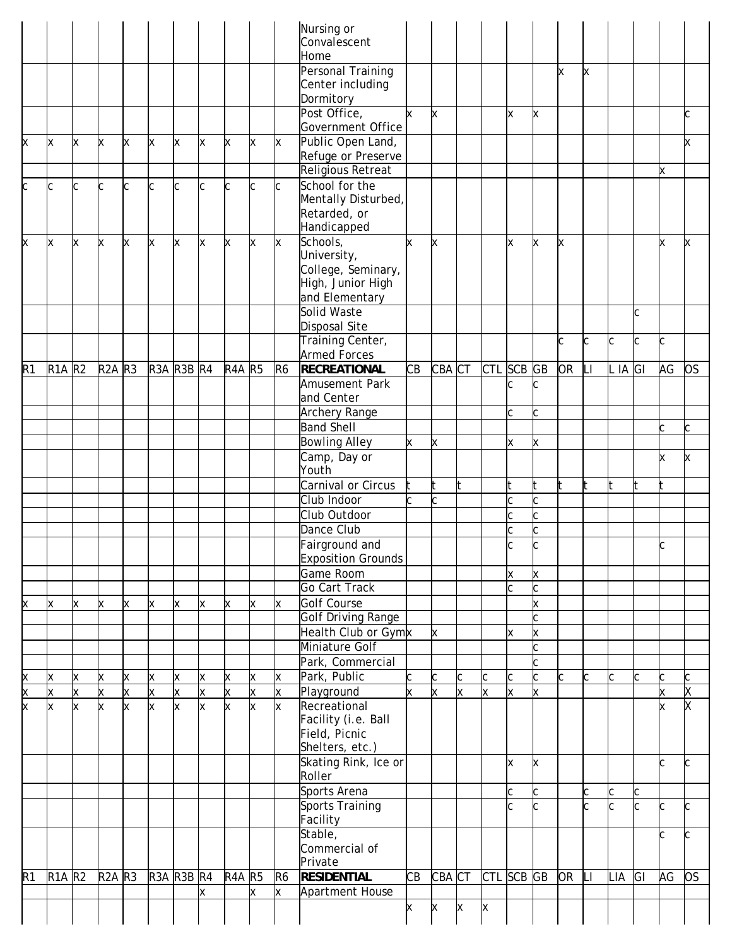|                |                           |          |            |                         |                  |   |              |               |              |                            | Nursing or<br>Convalescent<br>Home                                       |    |          |   |          |            |                    |           |     |         |        |    |           |
|----------------|---------------------------|----------|------------|-------------------------|------------------|---|--------------|---------------|--------------|----------------------------|--------------------------------------------------------------------------|----|----------|---|----------|------------|--------------------|-----------|-----|---------|--------|----|-----------|
|                |                           |          |            |                         |                  |   |              |               |              |                            | <b>Personal Training</b><br>Center including<br>Dormitory                |    |          |   |          |            |                    | X         | X   |         |        |    |           |
|                |                           |          |            |                         |                  |   |              |               |              |                            | Post Office,<br>Government Office                                        | k. | x        |   |          | Ιx         | x                  |           |     |         |        |    | C         |
| X              | X                         | X        | x          | X.                      | <b>x</b>         | X | X            | x             | x            | X                          | Public Open Land,                                                        |    |          |   |          |            |                    |           |     |         |        |    | x         |
|                |                           |          |            |                         |                  |   |              |               |              |                            | Refuge or Preserve<br><b>Religious Retreat</b>                           |    |          |   |          |            |                    |           |     |         |        | X  |           |
| C              | C                         | C        | lc.        | C                       | c                | C | c            | C             | C            | C                          | School for the<br>Mentally Disturbed,<br>Retarded, or<br>Handicapped     |    |          |   |          |            |                    |           |     |         |        |    |           |
| X              | $\boldsymbol{\mathsf{X}}$ | Ιx       | X.         | x                       | X                | X | X            | X             | x            | $\mathsf X$                | Schools,                                                                 | k  | X        |   |          | x          | X                  | x         |     |         |        | x  | x         |
|                |                           |          |            |                         |                  |   |              |               |              |                            | University,<br>College, Seminary,<br>High, Junior High<br>and Elementary |    |          |   |          |            |                    |           |     |         |        |    |           |
|                |                           |          |            |                         |                  |   |              |               |              |                            | Solid Waste                                                              |    |          |   |          |            |                    |           |     |         | C      |    |           |
|                |                           |          |            |                         |                  |   |              |               |              |                            | Disposal Site<br>Training Center,                                        |    |          |   |          |            |                    | C         | C   | C       | C      | C  |           |
|                |                           |          |            |                         |                  |   |              |               |              |                            | <b>Armed Forces</b>                                                      |    |          |   |          |            |                    |           |     |         |        |    |           |
| R <sub>1</sub> | <b>R1A R2</b>             |          | $R2A$ $R3$ |                         | $R3A$ $R3B$ $R4$ |   |              | <b>R4A R5</b> |              | R <sub>6</sub>             | <b>RECREATIONAL</b>                                                      | СB | CBA CT   |   |          | CTL SCB GB |                    | OR        | LI  | L IA GI |        | AG | <b>OS</b> |
|                |                           |          |            |                         |                  |   |              |               |              |                            | Amusement Park<br>and Center                                             |    |          |   |          | С          |                    |           |     |         |        |    |           |
|                |                           |          |            |                         |                  |   |              |               |              |                            | Archery Range                                                            |    |          |   |          | C          |                    |           |     |         |        |    |           |
|                |                           |          |            |                         |                  |   |              |               |              |                            | <b>Band Shell</b>                                                        |    |          |   |          |            |                    |           |     |         |        | C  | C         |
|                |                           |          |            |                         |                  |   |              |               |              |                            | <b>Bowling Alley</b>                                                     | x  | x        |   |          | Ιx         | X                  |           |     |         |        |    |           |
|                |                           |          |            |                         |                  |   |              |               |              |                            | Camp, Day or<br>Youth                                                    |    |          |   |          |            |                    |           |     |         |        | X. | x         |
|                |                           |          |            |                         |                  |   |              |               |              |                            | Carnival or Circus                                                       |    |          |   |          |            |                    | t         | lt. |         |        |    |           |
|                |                           |          |            |                         |                  |   |              |               |              |                            | Club Indoor                                                              |    |          |   |          | C          |                    |           |     |         |        |    |           |
|                |                           |          |            |                         |                  |   |              |               |              |                            | Club Outdoor                                                             |    |          |   |          | C          | C.                 |           |     |         |        |    |           |
|                |                           |          |            |                         |                  |   |              |               |              |                            | Dance Club                                                               |    |          |   |          | C          | C.                 |           |     |         |        |    |           |
|                |                           |          |            |                         |                  |   |              |               |              |                            | Fairground and<br><b>Exposition Grounds</b>                              |    |          |   |          | C          |                    |           |     |         |        | C  |           |
|                |                           |          |            |                         |                  |   |              |               |              |                            | Game Room                                                                |    |          |   |          | X          | x                  |           |     |         |        |    |           |
|                |                           |          |            |                         |                  |   |              |               |              |                            | Go Cart Track                                                            |    |          |   |          | Ċ          |                    |           |     |         |        |    |           |
| X              | х                         | <b>X</b> | x          | x                       | X                | x | Iх           | x             | x            | X                          | Golf Course                                                              |    |          |   |          |            | x                  |           |     |         |        |    |           |
|                |                           |          |            |                         |                  |   |              |               |              |                            | <b>Golf Driving Range</b>                                                |    |          |   |          |            |                    |           |     |         |        |    |           |
|                |                           |          |            |                         |                  |   |              |               |              |                            | Health Club or Gymx<br>Miniature Golf                                    |    | <b>x</b> |   |          | X          | X                  |           |     |         |        |    |           |
|                |                           |          |            |                         |                  |   |              |               |              |                            | Park, Commercial                                                         |    |          |   |          |            |                    |           |     |         |        |    |           |
| X              | X                         | <b>X</b> | X          | Χ                       | X                | X | X.           | X             | X            | X                          | Park, Public                                                             |    | c        | C | C        | C          | C                  | C         | C   | C       | C      | c  | C         |
| X              | X                         | X        | X.         | $\mathsf{\overline{x}}$ | x                | X | $\mathsf{x}$ | $\mathsf{x}$  | $\mathsf{x}$ | X                          | Playground                                                               | x  | x        | x | $\times$ | x          | x                  |           |     |         |        | ×. | X         |
| X              | X                         | x        | k.         | X                       | x                | X | x            | X             | k.           | X                          | Recreational<br>Facility (i.e. Ball<br>Field, Picnic<br>Shelters, etc.)  |    |          |   |          |            |                    |           |     |         |        | x  | X         |
|                |                           |          |            |                         |                  |   |              |               |              |                            | Skating Rink, Ice or                                                     |    |          |   |          | X          | x                  |           |     |         |        | C  | C         |
|                |                           |          |            |                         |                  |   |              |               |              |                            | Roller                                                                   |    |          |   |          |            |                    |           |     |         |        |    |           |
|                |                           |          |            |                         |                  |   |              |               |              |                            | Sports Arena<br><b>Sports Training</b>                                   |    |          |   |          | C<br>C     | <sub>c</sub><br>C. |           | C   | C<br>C  | C<br>C | C  |           |
|                |                           |          |            |                         |                  |   |              |               |              |                            | Facility                                                                 |    |          |   |          |            |                    |           |     |         |        |    |           |
|                |                           |          |            |                         |                  |   |              |               |              |                            | Stable,<br>Commercial of                                                 |    |          |   |          |            |                    |           |     |         |        | C  | Ċ.        |
|                |                           |          |            |                         |                  |   |              |               |              |                            | Private                                                                  | CВ |          |   |          |            |                    | <b>OR</b> | ÌЦ  |         |        |    | <b>OS</b> |
| R <sub>1</sub> | <b>R1A R2</b>             |          | $R2A$ $R3$ |                         | $R3A$ $R3B$ $R4$ |   | X            | <b>R4A R5</b> | x            | R <sub>6</sub><br><b>x</b> | <b>RESIDENTIAL</b><br>Apartment House                                    |    | CBA CT   |   |          | CTL SCB GB |                    |           |     | LIA     | GI     | AG |           |
|                |                           |          |            |                         |                  |   |              |               |              |                            |                                                                          | X  | X        | X | x        |            |                    |           |     |         |        |    |           |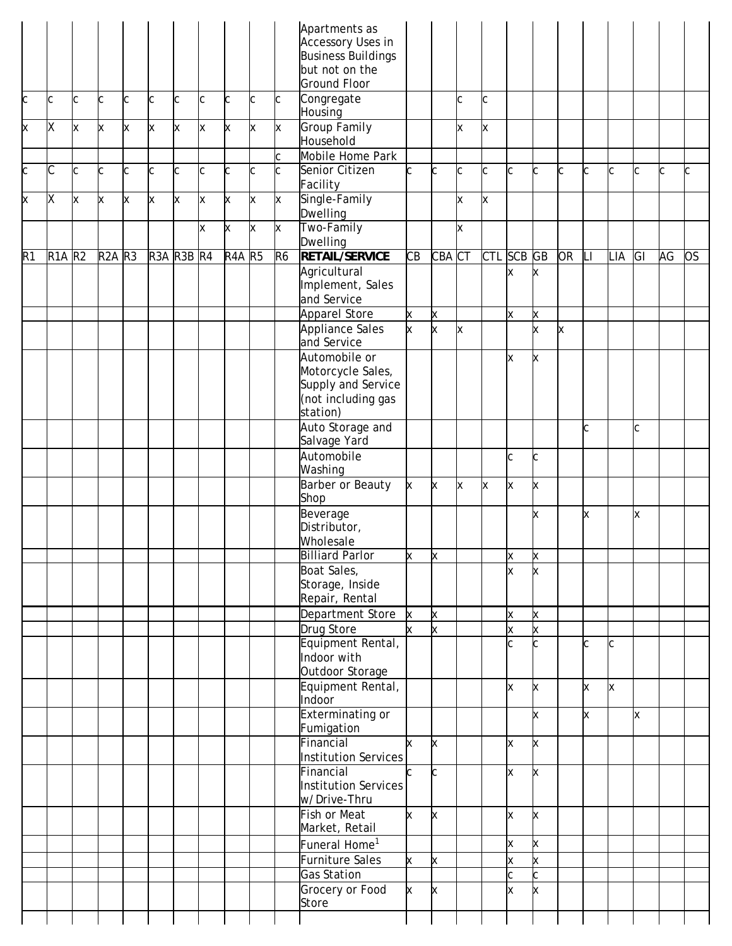|    |               |   |            |   |            |    |   |               |   |                | Apartments as                                   |    |        |   |    |            |              |           |    |     |    |    |     |
|----|---------------|---|------------|---|------------|----|---|---------------|---|----------------|-------------------------------------------------|----|--------|---|----|------------|--------------|-----------|----|-----|----|----|-----|
|    |               |   |            |   |            |    |   |               |   |                | Accessory Uses in                               |    |        |   |    |            |              |           |    |     |    |    |     |
|    |               |   |            |   |            |    |   |               |   |                | <b>Business Buildings</b>                       |    |        |   |    |            |              |           |    |     |    |    |     |
|    |               |   |            |   |            |    |   |               |   |                | but not on the                                  |    |        |   |    |            |              |           |    |     |    |    |     |
|    |               |   |            |   |            |    |   |               |   |                | <b>Ground Floor</b>                             |    |        |   |    |            |              |           |    |     |    |    |     |
| C  | C             | C | C.         | c | C          | C. | C | C             | C | C              | Congregate<br>Housing                           |    |        | C | Іс |            |              |           |    |     |    |    |     |
| X  | Χ             | X | <b>x</b>   | X | X          | X  | X | x             | X | x              | <b>Group Family</b><br>Household                |    |        | X | x  |            |              |           |    |     |    |    |     |
|    |               |   |            |   |            |    |   |               |   | C              | Mobile Home Park                                |    |        |   |    |            |              |           |    |     |    |    |     |
| C  | С             | C | C          | C | C          | c  | C | C             | C | C              | Senior Citizen                                  | Ċ  | C      | C | C  | C          | C            | C         | C  | C   | C  | c  | C   |
|    |               |   |            |   |            |    |   |               |   |                | Facility                                        |    |        |   |    |            |              |           |    |     |    |    |     |
| X  | Χ             | X | <b>x</b>   | X | x          | X  | X | X             | X | X              | Single-Family                                   |    |        | x | x  |            |              |           |    |     |    |    |     |
|    |               |   |            |   |            |    | X | X             | X | x              | Dwelling<br>Two-Family                          |    |        | X |    |            |              |           |    |     |    |    |     |
|    |               |   |            |   |            |    |   |               |   |                | Dwelling                                        |    |        |   |    |            |              |           |    |     |    |    |     |
| R1 | <b>R1A R2</b> |   | $R2A$ $R3$ |   | R3A R3B R4 |    |   | <b>R4A R5</b> |   | R <sub>6</sub> | <b>RETAIL/SERVICE</b>                           | CB | CBA CT |   |    | CTL SCB GB |              | <b>OR</b> | Ш  | LIA | GI | AG | los |
|    |               |   |            |   |            |    |   |               |   |                | Agricultural<br>Implement, Sales<br>and Service |    |        |   |    | Ιx         | x            |           |    |     |    |    |     |
|    |               |   |            |   |            |    |   |               |   |                | <b>Apparel Store</b>                            | X  | x      |   |    | Ιx         | x            |           |    |     |    |    |     |
|    |               |   |            |   |            |    |   |               |   |                | Appliance Sales                                 | x  | x      | x |    |            | x            | X         |    |     |    |    |     |
|    |               |   |            |   |            |    |   |               |   |                | and Service                                     |    |        |   |    |            |              |           |    |     |    |    |     |
|    |               |   |            |   |            |    |   |               |   |                | Automobile or                                   |    |        |   |    | X          | x            |           |    |     |    |    |     |
|    |               |   |            |   |            |    |   |               |   |                | Motorcycle Sales,<br>Supply and Service         |    |        |   |    |            |              |           |    |     |    |    |     |
|    |               |   |            |   |            |    |   |               |   |                | (not including gas                              |    |        |   |    |            |              |           |    |     |    |    |     |
|    |               |   |            |   |            |    |   |               |   |                | station)                                        |    |        |   |    |            |              |           |    |     |    |    |     |
|    |               |   |            |   |            |    |   |               |   |                | Auto Storage and                                |    |        |   |    |            |              |           | Іс |     | C  |    |     |
|    |               |   |            |   |            |    |   |               |   |                | Salvage Yard                                    |    |        |   |    |            |              |           |    |     |    |    |     |
|    |               |   |            |   |            |    |   |               |   |                | Automobile                                      |    |        |   |    | C          | C            |           |    |     |    |    |     |
|    |               |   |            |   |            |    |   |               |   |                | Washing                                         |    |        |   |    |            |              |           |    |     |    |    |     |
|    |               |   |            |   |            |    |   |               |   |                | Barber or Beauty<br>Shop                        | X  | X      | X | X  | X          | x            |           |    |     |    |    |     |
|    |               |   |            |   |            |    |   |               |   |                | Beverage<br>Distributor,                        |    |        |   |    |            | x            |           | x  |     | X  |    |     |
|    |               |   |            |   |            |    |   |               |   |                | Wholesale                                       |    |        |   |    |            |              |           |    |     |    |    |     |
|    |               |   |            |   |            |    |   |               |   |                | Billiard Parlor                                 | x  | X      |   |    | ΙX         | x            |           |    |     |    |    |     |
|    |               |   |            |   |            |    |   |               |   |                | Boat Sales,                                     |    |        |   |    | x          | x            |           |    |     |    |    |     |
|    |               |   |            |   |            |    |   |               |   |                | Storage, Inside                                 |    |        |   |    |            |              |           |    |     |    |    |     |
|    |               |   |            |   |            |    |   |               |   |                | Repair, Rental                                  |    |        |   |    |            |              |           |    |     |    |    |     |
|    |               |   |            |   |            |    |   |               |   |                | Department Store                                | X  | x      |   |    | X          | X            |           |    |     |    |    |     |
|    |               |   |            |   |            |    |   |               |   |                | Drug Store                                      |    | x      |   |    | X          | X.           |           |    |     |    |    |     |
|    |               |   |            |   |            |    |   |               |   |                | Equipment Rental,                               |    |        |   |    | C          | <sub>c</sub> |           |    | C   |    |    |     |
|    |               |   |            |   |            |    |   |               |   |                | Indoor with<br>Outdoor Storage                  |    |        |   |    |            |              |           |    |     |    |    |     |
|    |               |   |            |   |            |    |   |               |   |                | Equipment Rental,                               |    |        |   |    | Ιx         | x            |           | X  | X   |    |    |     |
|    |               |   |            |   |            |    |   |               |   |                | Indoor                                          |    |        |   |    |            |              |           |    |     |    |    |     |
|    |               |   |            |   |            |    |   |               |   |                | <b>Exterminating or</b><br>Fumigation           |    |        |   |    |            | x            |           | x  |     | x  |    |     |
|    |               |   |            |   |            |    |   |               |   |                | Financial<br>Institution Services               | x  | X      |   |    | X          | x            |           |    |     |    |    |     |
|    |               |   |            |   |            |    |   |               |   |                | Financial                                       |    | Іс     |   |    | X          | x            |           |    |     |    |    |     |
|    |               |   |            |   |            |    |   |               |   |                | Institution Services                            |    |        |   |    |            |              |           |    |     |    |    |     |
|    |               |   |            |   |            |    |   |               |   |                | w/Drive-Thru                                    |    |        |   |    |            |              |           |    |     |    |    |     |
|    |               |   |            |   |            |    |   |               |   |                | Fish or Meat<br>Market, Retail                  | X  | x      |   |    | X          | x            |           |    |     |    |    |     |
|    |               |   |            |   |            |    |   |               |   |                | Funeral Home <sup>1</sup>                       |    |        |   |    | X          | x            |           |    |     |    |    |     |
|    |               |   |            |   |            |    |   |               |   |                | Furniture Sales                                 | X  | x      |   |    | X          | X            |           |    |     |    |    |     |
|    |               |   |            |   |            |    |   |               |   |                | <b>Gas Station</b>                              |    |        |   |    | C          | C.           |           |    |     |    |    |     |
|    |               |   |            |   |            |    |   |               |   |                | Grocery or Food                                 | X  | x      |   |    | X          | X            |           |    |     |    |    |     |
|    |               |   |            |   |            |    |   |               |   |                | Store                                           |    |        |   |    |            |              |           |    |     |    |    |     |
|    |               |   |            |   |            |    |   |               |   |                |                                                 |    |        |   |    |            |              |           |    |     |    |    |     |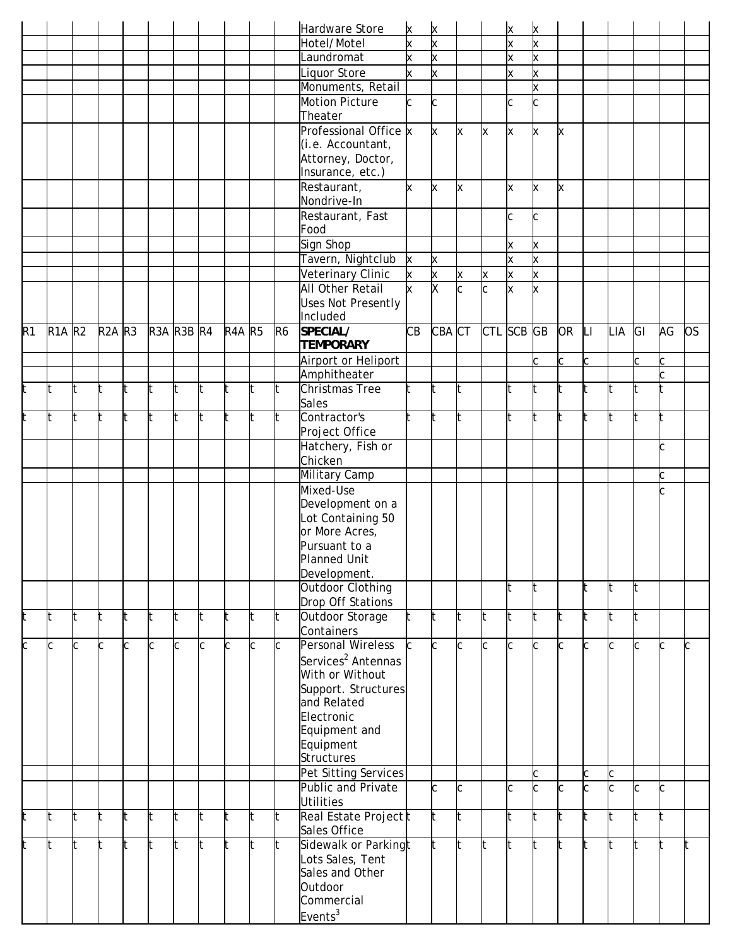|    |               |     |            |   |                  |     |     |               |    |           | Hardware Store                 | <b>x</b> | X        |     |     | x      | x        |           |     |     |     |     |           |
|----|---------------|-----|------------|---|------------------|-----|-----|---------------|----|-----------|--------------------------------|----------|----------|-----|-----|--------|----------|-----------|-----|-----|-----|-----|-----------|
|    |               |     |            |   |                  |     |     |               |    |           | Hotel/Motel                    | k        | x        |     |     | X      | X        |           |     |     |     |     |           |
|    |               |     |            |   |                  |     |     |               |    |           | Laundromat                     | k        | X.       |     |     | X      | X        |           |     |     |     |     |           |
|    |               |     |            |   |                  |     |     |               |    |           | Liquor Store                   |          | x        |     |     | Ιx     | x        |           |     |     |     |     |           |
|    |               |     |            |   |                  |     |     |               |    |           | Monuments, Retail              |          |          |     |     |        | X        |           |     |     |     |     |           |
|    |               |     |            |   |                  |     |     |               |    |           | Motion Picture                 | С        | C        |     |     | C      | C        |           |     |     |     |     |           |
|    |               |     |            |   |                  |     |     |               |    |           | Theater                        |          |          |     |     |        |          |           |     |     |     |     |           |
|    |               |     |            |   |                  |     |     |               |    |           | Professional Office x          |          | <b>x</b> | X   | X   | X      | X        | x         |     |     |     |     |           |
|    |               |     |            |   |                  |     |     |               |    |           | (i.e. Accountant,              |          |          |     |     |        |          |           |     |     |     |     |           |
|    |               |     |            |   |                  |     |     |               |    |           | Attorney, Doctor,              |          |          |     |     |        |          |           |     |     |     |     |           |
|    |               |     |            |   |                  |     |     |               |    |           | Insurance, etc.)               |          |          |     |     |        |          |           |     |     |     |     |           |
|    |               |     |            |   |                  |     |     |               |    |           | Restaurant,                    | k.       | <b>x</b> | X   |     | lx.    | <b>x</b> | x         |     |     |     |     |           |
|    |               |     |            |   |                  |     |     |               |    |           | Nondrive-In                    |          |          |     |     |        |          |           |     |     |     |     |           |
|    |               |     |            |   |                  |     |     |               |    |           | Restaurant, Fast               |          |          |     |     | Іс     | C        |           |     |     |     |     |           |
|    |               |     |            |   |                  |     |     |               |    |           | Food                           |          |          |     |     |        |          |           |     |     |     |     |           |
|    |               |     |            |   |                  |     |     |               |    |           | Sign Shop                      |          |          |     |     | X      | X        |           |     |     |     |     |           |
|    |               |     |            |   |                  |     |     |               |    |           | Tavern, Nightclub              | X        | X        |     |     | lx.    | X        |           |     |     |     |     |           |
|    |               |     |            |   |                  |     |     |               |    |           | Veterinary Clinic              | X        | X        | x   | x   | X      | X        |           |     |     |     |     |           |
|    |               |     |            |   |                  |     |     |               |    |           | <b>All Other Retail</b>        | k        | X        | c   | c   | x      | x        |           |     |     |     |     |           |
|    |               |     |            |   |                  |     |     |               |    |           | <b>Uses Not Presently</b>      |          |          |     |     |        |          |           |     |     |     |     |           |
|    |               |     |            |   |                  |     |     |               |    |           | Included                       |          |          |     |     |        |          |           |     |     |     |     |           |
| R1 | <b>R1A R2</b> |     | $R2A$ $R3$ |   | $R3A$ $R3B$ $R4$ |     |     | <b>R4A R5</b> |    | <b>R6</b> | SPECIAL/                       | CВ       | CBA CT   |     | CTL | SCB GB |          | <b>OR</b> | Ш   | LIA | GI  | AG  | <b>OS</b> |
|    |               |     |            |   |                  |     |     |               |    |           | <b>TEMPORARY</b>               |          |          |     |     |        |          |           |     |     |     |     |           |
|    |               |     |            |   |                  |     |     |               |    |           |                                |          |          |     |     |        |          | Ċ         |     |     | C.  |     |           |
|    |               |     |            |   |                  |     |     |               |    |           | Airport or Heliport            |          |          |     |     |        |          |           |     |     |     |     |           |
|    |               |     |            |   |                  |     |     |               |    |           | Amphitheater                   |          |          |     |     |        |          |           |     |     |     |     |           |
| t  | t             | lt. | lt.        |   |                  | lt. | It. |               | t  | lt.       | Christmas Tree                 |          | lt.      | It  |     | lt.    |          | t         | t   | t   | It  |     |           |
|    |               |     |            |   |                  |     |     |               |    |           | Sales<br>Contractor's          |          |          |     |     |        |          |           |     |     |     |     |           |
| t  | t             | lt. | lt.        | t | It               | It. | lt. | It.           | t  | It.       |                                |          | lt.      | lt. |     | lt.    |          | t         | lt  | t   | lt. | It  |           |
|    |               |     |            |   |                  |     |     |               |    |           | Project Office                 |          |          |     |     |        |          |           |     |     |     |     |           |
|    |               |     |            |   |                  |     |     |               |    |           | Hatchery, Fish or              |          |          |     |     |        |          |           |     |     |     | C   |           |
|    |               |     |            |   |                  |     |     |               |    |           | Chicken                        |          |          |     |     |        |          |           |     |     |     |     |           |
|    |               |     |            |   |                  |     |     |               |    |           | <b>Military Camp</b>           |          |          |     |     |        |          |           |     |     |     |     |           |
|    |               |     |            |   |                  |     |     |               |    |           | Mixed-Use                      |          |          |     |     |        |          |           |     |     |     |     |           |
|    |               |     |            |   |                  |     |     |               |    |           | Development on a               |          |          |     |     |        |          |           |     |     |     |     |           |
|    |               |     |            |   |                  |     |     |               |    |           | Lot Containing 50              |          |          |     |     |        |          |           |     |     |     |     |           |
|    |               |     |            |   |                  |     |     |               |    |           | or More Acres,                 |          |          |     |     |        |          |           |     |     |     |     |           |
|    |               |     |            |   |                  |     |     |               |    |           | Pursuant to a                  |          |          |     |     |        |          |           |     |     |     |     |           |
|    |               |     |            |   |                  |     |     |               |    |           | Planned Unit                   |          |          |     |     |        |          |           |     |     |     |     |           |
|    |               |     |            |   |                  |     |     |               |    |           | Development.                   |          |          |     |     |        |          |           |     |     |     |     |           |
|    |               |     |            |   |                  |     |     |               |    |           | Outdoor Clothing               |          |          |     |     | lt.    |          |           |     | lt. | It  |     |           |
|    |               |     |            |   |                  |     |     |               |    |           | Drop Off Stations              |          |          |     |     |        |          |           |     |     |     |     |           |
| t  | t             | t   | It.        |   |                  | It  | t   |               | It |           | Outdoor Storage                | It.      | It.      |     |     | lt.    |          |           |     | It  | It  |     |           |
|    |               |     |            |   |                  |     |     |               |    |           | Containers                     |          |          |     |     |        |          |           |     |     |     |     |           |
| c  | C             | C   | c          | C | C                | C   | Iс  | C             | C  | lC.       | Personal Wireless              | ŀ.       | C        | Ċ   | Іс  | C      | IC.      | C         | lC. | C   | lC. | IC. |           |
|    |               |     |            |   |                  |     |     |               |    |           | Services <sup>2</sup> Antennas |          |          |     |     |        |          |           |     |     |     |     |           |
|    |               |     |            |   |                  |     |     |               |    |           | With or Without                |          |          |     |     |        |          |           |     |     |     |     |           |
|    |               |     |            |   |                  |     |     |               |    |           | Support. Structures            |          |          |     |     |        |          |           |     |     |     |     |           |
|    |               |     |            |   |                  |     |     |               |    |           | and Related                    |          |          |     |     |        |          |           |     |     |     |     |           |
|    |               |     |            |   |                  |     |     |               |    |           | Electronic                     |          |          |     |     |        |          |           |     |     |     |     |           |
|    |               |     |            |   |                  |     |     |               |    |           | Equipment and                  |          |          |     |     |        |          |           |     |     |     |     |           |
|    |               |     |            |   |                  |     |     |               |    |           | Equipment                      |          |          |     |     |        |          |           |     |     |     |     |           |
|    |               |     |            |   |                  |     |     |               |    |           | <b>Structures</b>              |          |          |     |     |        |          |           |     |     |     |     |           |
|    |               |     |            |   |                  |     |     |               |    |           | Pet Sitting Services           |          |          |     |     |        |          |           | ІC  | C   |     |     |           |
|    |               |     |            |   |                  |     |     |               |    |           | Public and Private             |          | C        | C   |     | C      |          | Ċ         |     | C   | lc. | C   |           |
|    |               |     |            |   |                  |     |     |               |    |           | Utilities                      |          |          |     |     |        |          |           |     |     |     |     |           |
| t  | t             | t   | lt.        |   |                  | lt  | t   |               | It |           | Real Estate Project t          |          | lt.      |     |     | lt.    |          |           |     | t   | lt  |     |           |
|    |               |     |            |   |                  |     |     |               |    |           | Sales Office                   |          |          |     |     |        |          |           |     |     |     |     |           |
| t  | t             | t   | lt         |   |                  |     | t   |               | lt |           | Sidewalk or Parkingt           |          |          |     | t   | lt.    |          |           |     | It  | lt  |     |           |
|    |               |     |            |   |                  |     |     |               |    |           | Lots Sales, Tent               |          |          |     |     |        |          |           |     |     |     |     |           |
|    |               |     |            |   |                  |     |     |               |    |           | Sales and Other                |          |          |     |     |        |          |           |     |     |     |     |           |
|    |               |     |            |   |                  |     |     |               |    |           | Outdoor                        |          |          |     |     |        |          |           |     |     |     |     |           |
|    |               |     |            |   |                  |     |     |               |    |           | Commercial                     |          |          |     |     |        |          |           |     |     |     |     |           |
|    |               |     |            |   |                  |     |     |               |    |           | Events <sup>3</sup>            |          |          |     |     |        |          |           |     |     |     |     |           |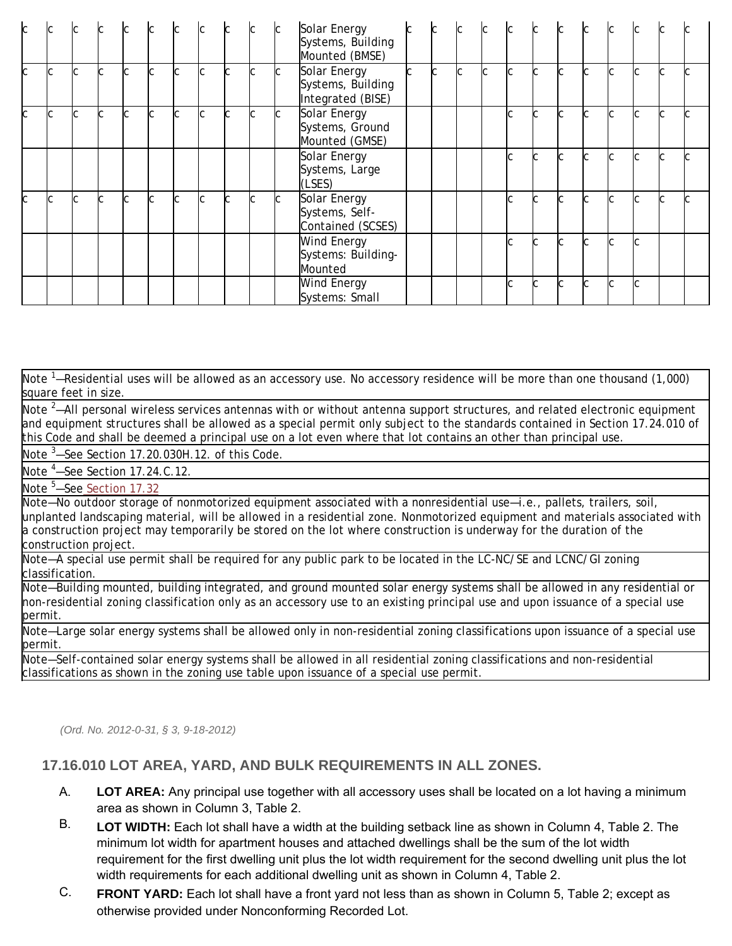| C. |    |              |   |     |    | lc. | $\sim$ |    | lC. |    | Solar Energy<br>Systems, Building<br>Mounted (BMSE)    |     | lc. | l∩.       | C  |   |     |                     |        |  |
|----|----|--------------|---|-----|----|-----|--------|----|-----|----|--------------------------------------------------------|-----|-----|-----------|----|---|-----|---------------------|--------|--|
| C  | ІC | <sub>C</sub> | C | lc. | Іс | lC. | lc.    | C. | lC. | C. | Solar Energy<br>Systems, Building<br>Integrated (BISE) | lc. | lc. | l∼<br>IU. | Iс | C |     | $\overline{ }$<br>U | C      |  |
| C  |    | lC.          | C | r   | r  | lc. | Iс     |    | C   | C. | Solar Energy<br>Systems, Ground<br>Mounted (GMSE)      |     |     |           |    | Ċ | r   | $\sim$              | $\sim$ |  |
|    |    |              |   |     |    |     |        |    |     |    | Solar Energy<br>Systems, Large<br>(LSES)               |     |     |           |    | Ċ |     | ι.                  | C      |  |
| C. |    | C            |   |     |    | lc. | Iс     |    | lC. | C  | Solar Energy<br>Systems, Self-<br>Contained (SCSES)    |     |     |           |    | C |     | $\overline{ }$      | C.     |  |
|    |    |              |   |     |    |     |        |    |     |    | Wind Energy<br>Systems: Building-<br>Mounted           |     |     |           |    | C |     | Ċ                   |        |  |
|    |    |              |   |     |    |     |        |    |     |    | <b>Wind Energy</b><br>Systems: Small                   |     |     |           | Ċ  | C | lC. | C                   |        |  |

Note <sup>1</sup>—Residential uses will be allowed as an accessory use. No accessory residence will be more than one thousand (1,000) square feet in size.

Note <sup>2</sup>—All personal wireless services antennas with or without antenna support structures, and related electronic equipment and equipment structures shall be allowed as a special permit only subject to the standards contained in Section 17.24.010 of this Code and shall be deemed a principal use on a lot even where that lot contains an other than principal use.

Note  $3$ -See Section 17.20.030H.12. of this Code.

Note <sup>4</sup>-See Section 17.24.C.12.

Note<sup>5</sup>-See Section 17.32

Note—No outdoor storage of nonmotorized equipment associated with a nonresidential use—i.e., pallets, trailers, soil, unplanted landscaping material, will be allowed in a residential zone. Nonmotorized equipment and materials associated with a construction project may temporarily be stored on the lot where construction is underway for the duration of the construction project.

Note—A special use permit shall be required for any public park to be located in the LC-NC/SE and LCNC/GI zoning classification.

Note—Building mounted, building integrated, and ground mounted solar energy systems shall be allowed in any residential or non-residential zoning classification only as an accessory use to an existing principal use and upon issuance of a special use permit.

Note—Large solar energy systems shall be allowed only in non-residential zoning classifications upon issuance of a special use permit.

Note—Self-contained solar energy systems shall be allowed in all residential zoning classifications and non-residential classifications as shown in the zoning use table upon issuance of a special use permit.

*(Ord. No. 2012-0-31, § 3, 9-18-2012)* 

## **17.16.010 LOT AREA, YARD, AND BULK REQUIREMENTS IN ALL ZONES.**

- A. **LOT AREA:** Any principal use together with all accessory uses shall be located on a lot having a minimum area as shown in Column 3, Table 2.
- B. **LOT WIDTH:** Each lot shall have a width at the building setback line as shown in Column 4, Table 2. The minimum lot width for apartment houses and attached dwellings shall be the sum of the lot width requirement for the first dwelling unit plus the lot width requirement for the second dwelling unit plus the lot width requirements for each additional dwelling unit as shown in Column 4, Table 2.
- C. **FRONT YARD:** Each lot shall have a front yard not less than as shown in Column 5, Table 2; except as otherwise provided under Nonconforming Recorded Lot.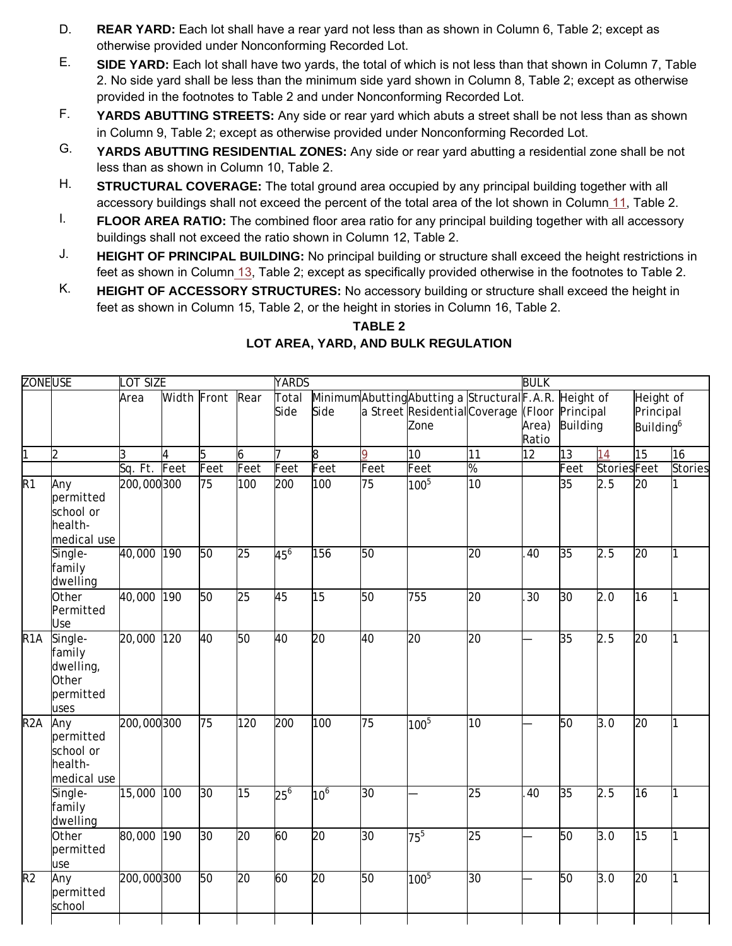- D. **REAR YARD:** Each lot shall have a rear yard not less than as shown in Column 6, Table 2; except as otherwise provided under Nonconforming Recorded Lot.
- E. **SIDE YARD:** Each lot shall have two yards, the total of which is not less than that shown in Column 7, Table 2. No side yard shall be less than the minimum side yard shown in Column 8, Table 2; except as otherwise provided in the footnotes to Table 2 and under Nonconforming Recorded Lot.
- F. **YARDS ABUTTING STREETS:** Any side or rear yard which abuts a street shall be not less than as shown in Column 9, Table 2; except as otherwise provided under Nonconforming Recorded Lot.
- G. **YARDS ABUTTING RESIDENTIAL ZONES:** Any side or rear yard abutting a residential zone shall be not less than as shown in Column 10, Table 2.
- H. **STRUCTURAL COVERAGE:** The total ground area occupied by any principal building together with all accessory buildings shall not exceed the percent of the total area of the lot shown in Column 11, Table 2.
- I. **FLOOR AREA RATIO:** The combined floor area ratio for any principal building together with all accessory buildings shall not exceed the ratio shown in Column 12, Table 2.
- J. **HEIGHT OF PRINCIPAL BUILDING:** No principal building or structure shall exceed the height restrictions in feet as shown in Column 13, Table 2; except as specifically provided otherwise in the footnotes to Table 2.
- K. **HEIGHT OF ACCESSORY STRUCTURES:** No accessory building or structure shall exceed the height in feet as shown in Column 15, Table 2, or the height in stories in Column 16, Table 2.

## **TABLE 2**

| <b>ZONEUSE</b>           |                                                              | OT SIZE    |                  |      |                 | <b>YARDS</b>    |                 |      |                                                                                                                |                 | <b>BULK</b>     |                 |                    |                                                 |         |
|--------------------------|--------------------------------------------------------------|------------|------------------|------|-----------------|-----------------|-----------------|------|----------------------------------------------------------------------------------------------------------------|-----------------|-----------------|-----------------|--------------------|-------------------------------------------------|---------|
|                          |                                                              | Area       | Width Front Rear |      |                 | Total<br>Side   | Side            |      | MinimumAbuttingAbutting a StructuralF.A.R. Height of<br>a Street Residential Coverage (Floor Principal<br>Zone |                 | Area)<br>Ratio  | <b>Building</b> |                    | Height of<br>Principal<br>Building <sup>6</sup> |         |
| 1                        | $\overline{2}$                                               | l3         | $\overline{4}$   | 5    | 6               | 17              | 8               | 9    | 10                                                                                                             | 11              | 12 <sup>2</sup> | 13              | 14                 | 15                                              | 16      |
|                          |                                                              | Sq. Ft.    | Feet             | Feet | Feet            | Feet            | Feet            | Feet | Feet                                                                                                           | $\frac{9}{6}$   |                 | Feet            | <b>StoriesFeet</b> |                                                 | Stories |
| $\overline{R1}$          | Any<br>permitted<br>school or<br>health-<br>medical use      | 200,000300 |                  | 75   | 100             | 200             | 100             | 75   | $100^{5}$                                                                                                      | $ 10\rangle$    |                 | 35              | 2.5                | 20                                              |         |
|                          | Single-<br>family<br>dwelling                                | 40,000 190 |                  | 50   | 25              | 45 <sup>6</sup> | 156             | 50   |                                                                                                                | $\overline{20}$ | 40              | 35              | 2.5                | 20                                              |         |
|                          | Other<br>Permitted<br>Use                                    | 40,000     | 190              | 50   | 25              | 45              | $\overline{15}$ | 50   | 755                                                                                                            | 20              | 30              | 30              | 2.0                | 16                                              |         |
| $\overline{R1A}$         | Single-<br>family<br>dwelling,<br>Other<br>permitted<br>uses | 20,000     | 120              | 40   | 50              | 40              | 20              | 40   | $\overline{20}$                                                                                                | 20              |                 | 35              | 2.5                | 20                                              | 1       |
| R <sub>2</sub> A         | Any<br>permitted<br>school or<br>health-<br>medical use      | 200,000300 |                  | 75   | 120             | 200             | 100             | 75   | $100^{5}$                                                                                                      | 10              |                 | 50              | 3.0                | 20                                              |         |
|                          | Single-<br>family<br>dwelling                                | 15,000     | 100              | 30   | 15              | $25^6$          | 10 <sup>6</sup> | 30   |                                                                                                                | $\overline{25}$ | 40              | 35              | 2.5                | 16                                              | 1       |
|                          | Other<br>permitted<br>use                                    | 80,000     | 190              | 30   | 20              | 60              | 20              | 30   | $75^5$                                                                                                         | 25              |                 | 50              | 3.0                | 15                                              |         |
| $\overline{\mathsf{R2}}$ | Any<br>permitted<br>school                                   | 200,000300 |                  | 50   | $\overline{20}$ | 60              | 20              | 50   | $100^{5}$                                                                                                      | $ 30\rangle$    |                 | 50              | 3.0                | $\overline{20}$                                 |         |
|                          |                                                              |            |                  |      |                 |                 |                 |      |                                                                                                                |                 |                 |                 |                    |                                                 |         |

# **LOT AREA, YARD, AND BULK REGULATION**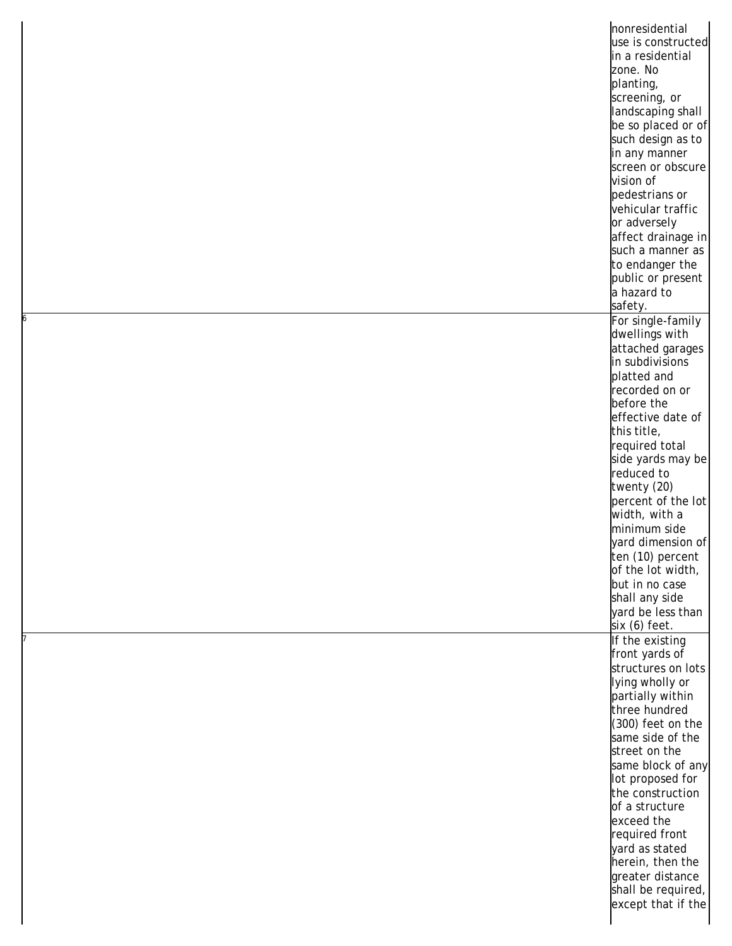|   | nonresidential     |
|---|--------------------|
|   | use is constructed |
|   | in a residential   |
|   | zone. No           |
|   | planting,          |
|   | screening, or      |
|   | landscaping shall  |
|   | be so placed or of |
|   | such design as to  |
|   |                    |
|   | in any manner      |
|   | screen or obscure  |
|   | vision of          |
|   | pedestrians or     |
|   | vehicular traffic  |
|   | or adversely       |
|   | affect drainage in |
|   | such a manner as   |
|   | to endanger the    |
|   | public or present  |
|   | a hazard to        |
|   | safety.            |
| 6 | For single-family  |
|   | dwellings with     |
|   | attached garages   |
|   | in subdivisions    |
|   | platted and        |
|   | recorded on or     |
|   | before the         |
|   | effective date of  |
|   | this title,        |
|   | required total     |
|   | side yards may be  |
|   | reduced to         |
|   | twenty (20)        |
|   | percent of the lot |
|   | width, with a      |
|   | minimum side       |
|   | yard dimension of  |
|   | ten (10) percent   |
|   | of the lot width,  |
|   | but in no case     |
|   |                    |
|   | shall any side     |
|   | yard be less than  |
|   | six (6) feet.      |
|   | If the existing    |
|   | front yards of     |
|   | structures on lots |
|   | lying wholly or    |
|   | partially within   |
|   | three hundred      |
|   | (300) feet on the  |
|   | same side of the   |
|   | street on the      |
|   | same block of any  |
|   | lot proposed for   |
|   | the construction   |
|   | of a structure     |
|   | exceed the         |
|   | required front     |
|   | yard as stated     |
|   | herein, then the   |
|   | greater distance   |
|   | shall be required, |
|   | except that if the |
|   |                    |
|   |                    |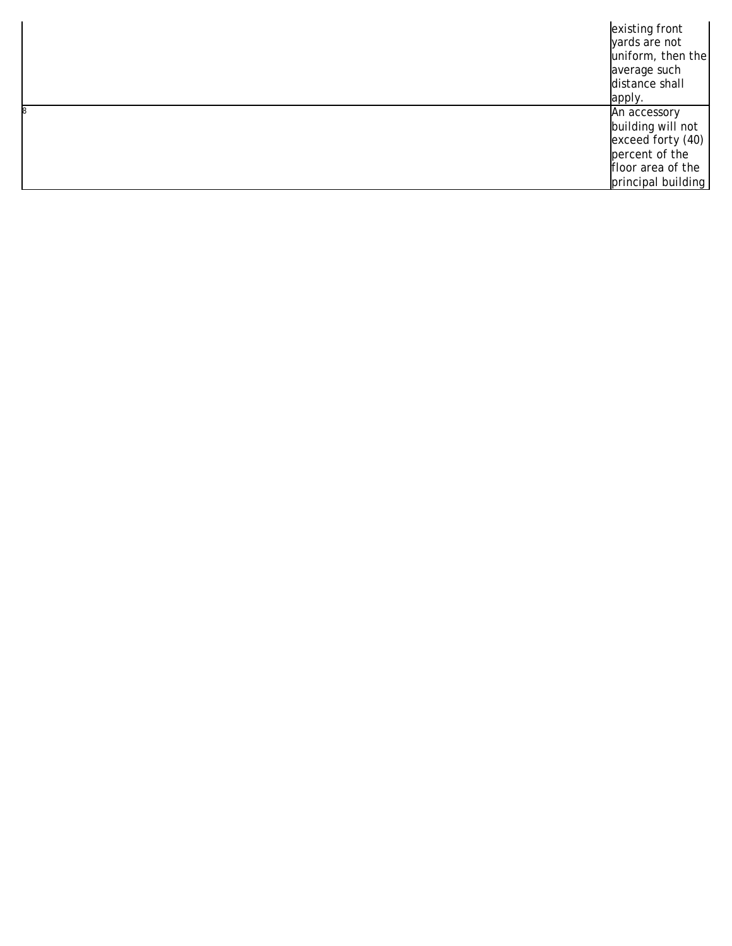| existing front     |
|--------------------|
| vards are not      |
| uniform, then the  |
| average such       |
| distance shall     |
| apply.             |
| An accessory       |
| building will not  |
| exceed forty (40)  |
| percent of the     |
| floor area of the  |
| principal building |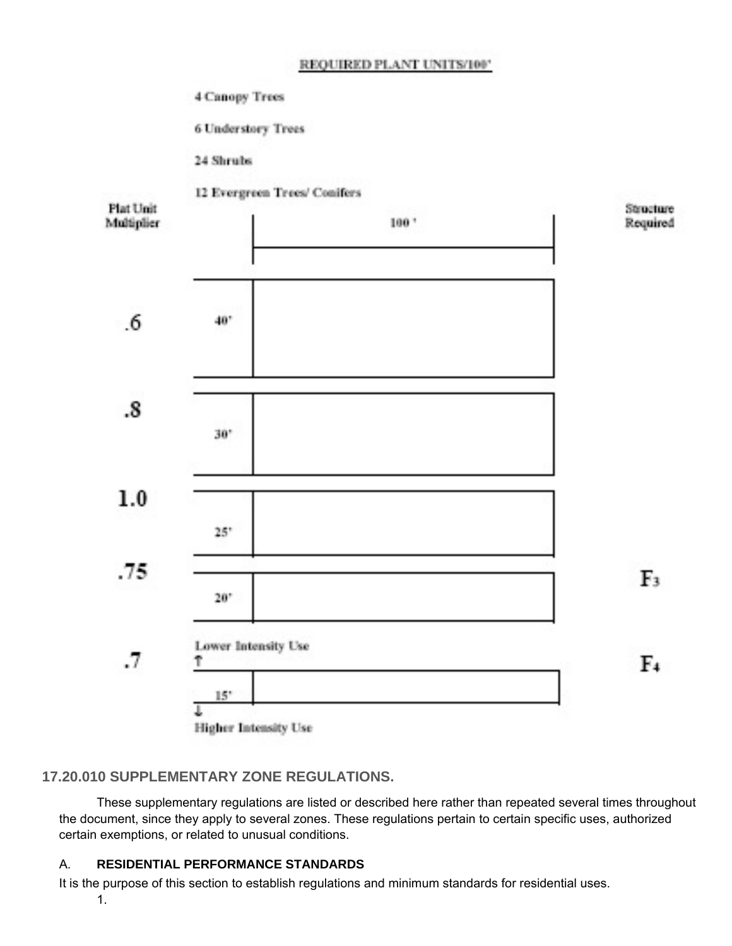### REQUIRED PLANT UNITS/100"

4 Canopy Trees

**6 Understory Trees** 

24 Shrubs



# **17.20.010 SUPPLEMENTARY ZONE REGULATIONS.**

These supplementary regulations are listed or described here rather than repeated several times throughout the document, since they apply to several zones. These regulations pertain to certain specific uses, authorized certain exemptions, or related to unusual conditions.

#### A. **RESIDENTIAL PERFORMANCE STANDARDS**

1. It is the purpose of this section to establish regulations and minimum standards for residential uses.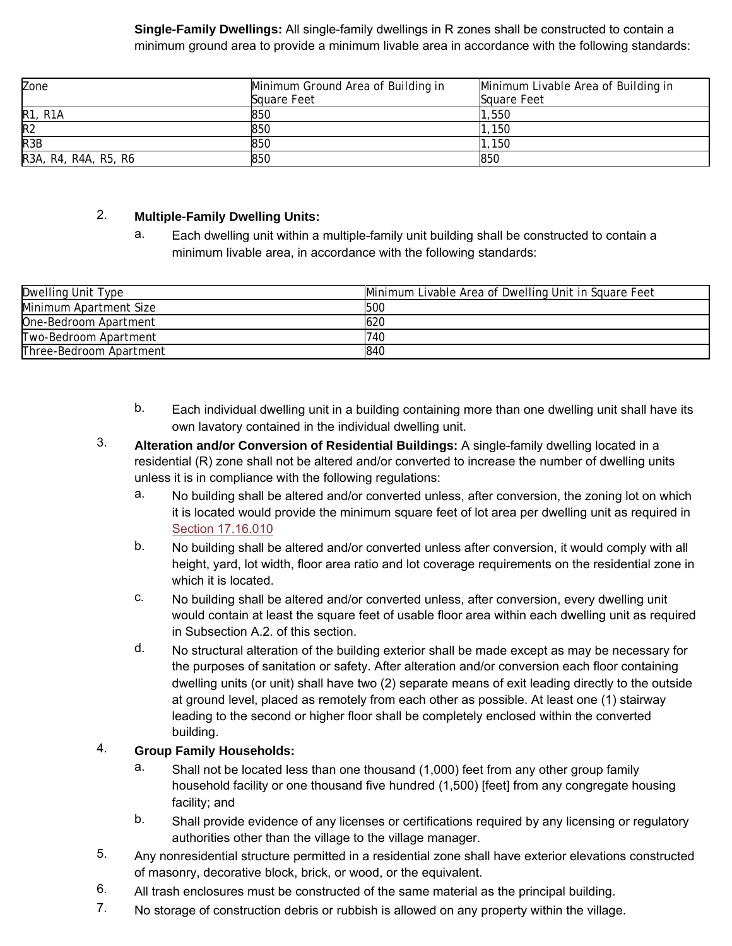### **Single-Family Dwellings:** All single-family dwellings in R zones shall be constructed to contain a minimum ground area to provide a minimum livable area in accordance with the following standards:

| Zone                 | Minimum Ground Area of Building in<br>Square Feet | Minimum Livable Area of Building in<br>Sauare Feet |
|----------------------|---------------------------------------------------|----------------------------------------------------|
| <b>R1, R1A</b>       | 850                                               | 1,550                                              |
| R <sub>2</sub>       | 850                                               | .150                                               |
| R <sub>3</sub> B     | 850                                               | 150                                                |
| R3A, R4, R4A, R5, R6 | 850                                               | 850                                                |

#### 2. **Multiple-Family Dwelling Units:**

a. Each dwelling unit within a multiple-family unit building shall be constructed to contain a minimum livable area, in accordance with the following standards:

| <b>Dwelling Unit Type</b> | Minimum Livable Area of Dwelling Unit in Square Feet |
|---------------------------|------------------------------------------------------|
| Minimum Apartment Size    | <b>500</b>                                           |
| One-Bedroom Apartment     | 620                                                  |
| Two-Bedroom Apartment     | 740                                                  |
| Three-Bedroom Apartment   | 1840                                                 |

- b. Each individual dwelling unit in a building containing more than one dwelling unit shall have its own lavatory contained in the individual dwelling unit.
- 3. **Alteration and/or Conversion of Residential Buildings:** A single-family dwelling located in a residential (R) zone shall not be altered and/or converted to increase the number of dwelling units unless it is in compliance with the following regulations:
	- a. No building shall be altered and/or converted unless, after conversion, the zoning lot on which it is located would provide the minimum square feet of lot area per dwelling unit as required in Section 17.16.010
	- b. No building shall be altered and/or converted unless after conversion, it would comply with all height, yard, lot width, floor area ratio and lot coverage requirements on the residential zone in which it is located.
	- c. No building shall be altered and/or converted unless, after conversion, every dwelling unit would contain at least the square feet of usable floor area within each dwelling unit as required in Subsection A.2. of this section.
	- d. No structural alteration of the building exterior shall be made except as may be necessary for the purposes of sanitation or safety. After alteration and/or conversion each floor containing dwelling units (or unit) shall have two (2) separate means of exit leading directly to the outside at ground level, placed as remotely from each other as possible. At least one (1) stairway leading to the second or higher floor shall be completely enclosed within the converted building.

#### 4. **Group Family Households:**

- a. Shall not be located less than one thousand (1,000) feet from any other group family household facility or one thousand five hundred (1,500) [feet] from any congregate housing facility; and
- b. Shall provide evidence of any licenses or certifications required by any licensing or regulatory authorities other than the village to the village manager.
- 5. Any nonresidential structure permitted in a residential zone shall have exterior elevations constructed of masonry, decorative block, brick, or wood, or the equivalent.
- 6. All trash enclosures must be constructed of the same material as the principal building.
- 7. No storage of construction debris or rubbish is allowed on any property within the village.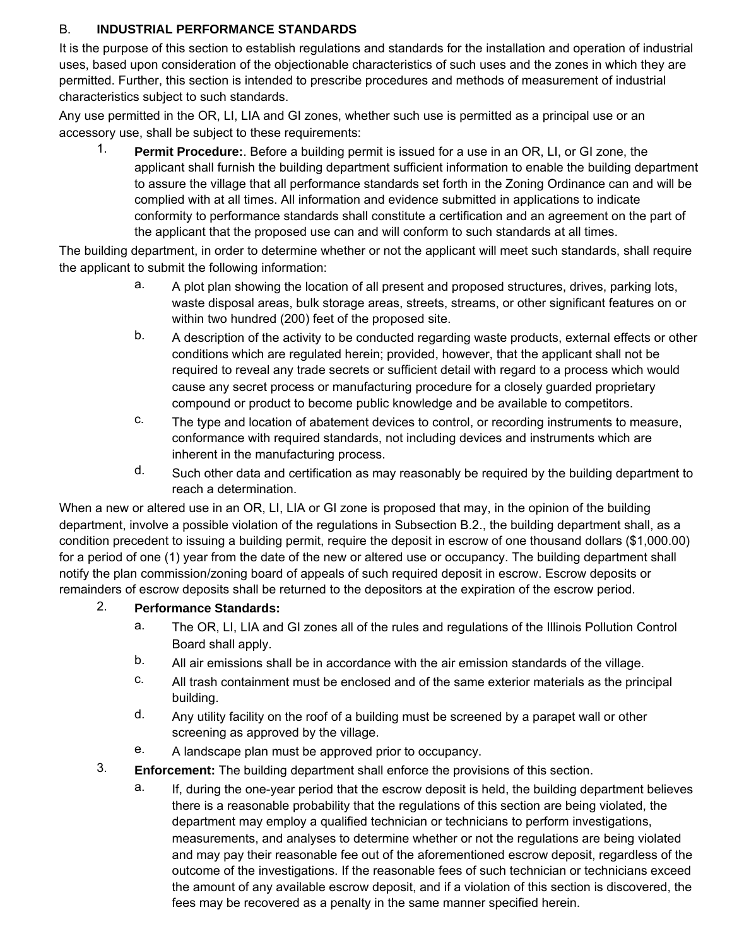#### B. **INDUSTRIAL PERFORMANCE STANDARDS**

It is the purpose of this section to establish regulations and standards for the installation and operation of industrial uses, based upon consideration of the objectionable characteristics of such uses and the zones in which they are permitted. Further, this section is intended to prescribe procedures and methods of measurement of industrial characteristics subject to such standards.

Any use permitted in the OR, LI, LIA and GI zones, whether such use is permitted as a principal use or an accessory use, shall be subject to these requirements:

1. **Permit Procedure:**. Before a building permit is issued for a use in an OR, LI, or GI zone, the applicant shall furnish the building department sufficient information to enable the building department to assure the village that all performance standards set forth in the Zoning Ordinance can and will be complied with at all times. All information and evidence submitted in applications to indicate conformity to performance standards shall constitute a certification and an agreement on the part of the applicant that the proposed use can and will conform to such standards at all times.

The building department, in order to determine whether or not the applicant will meet such standards, shall require the applicant to submit the following information:

- a. A plot plan showing the location of all present and proposed structures, drives, parking lots, waste disposal areas, bulk storage areas, streets, streams, or other significant features on or within two hundred (200) feet of the proposed site.
- b. A description of the activity to be conducted regarding waste products, external effects or other conditions which are regulated herein; provided, however, that the applicant shall not be required to reveal any trade secrets or sufficient detail with regard to a process which would cause any secret process or manufacturing procedure for a closely guarded proprietary compound or product to become public knowledge and be available to competitors.
- c. The type and location of abatement devices to control, or recording instruments to measure, conformance with required standards, not including devices and instruments which are inherent in the manufacturing process.
- d. Such other data and certification as may reasonably be required by the building department to reach a determination.

When a new or altered use in an OR, LI, LIA or GI zone is proposed that may, in the opinion of the building department, involve a possible violation of the regulations in Subsection B.2., the building department shall, as a condition precedent to issuing a building permit, require the deposit in escrow of one thousand dollars (\$1,000.00) for a period of one (1) year from the date of the new or altered use or occupancy. The building department shall notify the plan commission/zoning board of appeals of such required deposit in escrow. Escrow deposits or remainders of escrow deposits shall be returned to the depositors at the expiration of the escrow period.

- 2. **Performance Standards:**
	- a. The OR, LI, LIA and GI zones all of the rules and regulations of the Illinois Pollution Control Board shall apply.
	- b. All air emissions shall be in accordance with the air emission standards of the village.
	- c. All trash containment must be enclosed and of the same exterior materials as the principal building.
	- d. Any utility facility on the roof of a building must be screened by a parapet wall or other screening as approved by the village.
	- e. A landscape plan must be approved prior to occupancy.
- 3. **Enforcement:** The building department shall enforce the provisions of this section.
	- a. If, during the one-year period that the escrow deposit is held, the building department believes there is a reasonable probability that the regulations of this section are being violated, the department may employ a qualified technician or technicians to perform investigations, measurements, and analyses to determine whether or not the regulations are being violated and may pay their reasonable fee out of the aforementioned escrow deposit, regardless of the outcome of the investigations. If the reasonable fees of such technician or technicians exceed the amount of any available escrow deposit, and if a violation of this section is discovered, the fees may be recovered as a penalty in the same manner specified herein.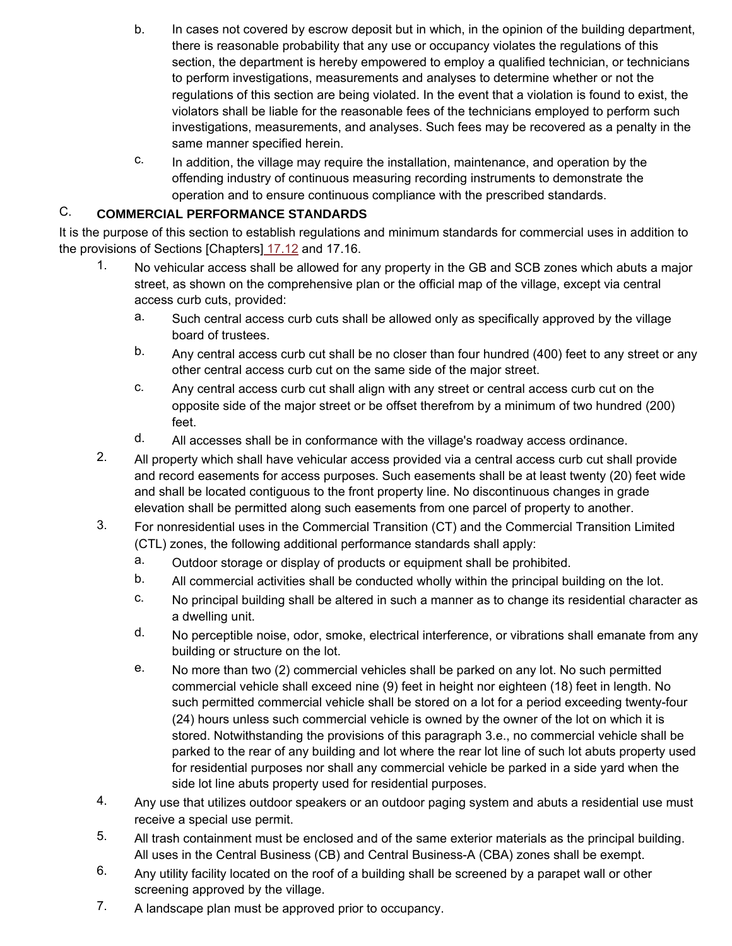- b. In cases not covered by escrow deposit but in which, in the opinion of the building department, there is reasonable probability that any use or occupancy violates the regulations of this section, the department is hereby empowered to employ a qualified technician, or technicians to perform investigations, measurements and analyses to determine whether or not the regulations of this section are being violated. In the event that a violation is found to exist, the violators shall be liable for the reasonable fees of the technicians employed to perform such investigations, measurements, and analyses. Such fees may be recovered as a penalty in the same manner specified herein.
- c. In addition, the village may require the installation, maintenance, and operation by the offending industry of continuous measuring recording instruments to demonstrate the operation and to ensure continuous compliance with the prescribed standards.

#### C. **COMMERCIAL PERFORMANCE STANDARDS**

It is the purpose of this section to establish regulations and minimum standards for commercial uses in addition to the provisions of Sections [Chapters] 17.12 and 17.16.

- 1. No vehicular access shall be allowed for any property in the GB and SCB zones which abuts a major street, as shown on the comprehensive plan or the official map of the village, except via central access curb cuts, provided:
	- a. Such central access curb cuts shall be allowed only as specifically approved by the village board of trustees.
	- b. Any central access curb cut shall be no closer than four hundred (400) feet to any street or any other central access curb cut on the same side of the major street.
	- c. Any central access curb cut shall align with any street or central access curb cut on the opposite side of the major street or be offset therefrom by a minimum of two hundred (200) feet.
	- d. All accesses shall be in conformance with the village's roadway access ordinance.
- 2. All property which shall have vehicular access provided via a central access curb cut shall provide and record easements for access purposes. Such easements shall be at least twenty (20) feet wide and shall be located contiguous to the front property line. No discontinuous changes in grade elevation shall be permitted along such easements from one parcel of property to another.
- 3. For nonresidential uses in the Commercial Transition (CT) and the Commercial Transition Limited (CTL) zones, the following additional performance standards shall apply:
	- a. Outdoor storage or display of products or equipment shall be prohibited.
	- b. All commercial activities shall be conducted wholly within the principal building on the lot.
	- c. No principal building shall be altered in such a manner as to change its residential character as a dwelling unit.
	- d. No perceptible noise, odor, smoke, electrical interference, or vibrations shall emanate from any building or structure on the lot.
	- e. No more than two (2) commercial vehicles shall be parked on any lot. No such permitted commercial vehicle shall exceed nine (9) feet in height nor eighteen (18) feet in length. No such permitted commercial vehicle shall be stored on a lot for a period exceeding twenty-four (24) hours unless such commercial vehicle is owned by the owner of the lot on which it is stored. Notwithstanding the provisions of this paragraph 3.e., no commercial vehicle shall be parked to the rear of any building and lot where the rear lot line of such lot abuts property used for residential purposes nor shall any commercial vehicle be parked in a side yard when the side lot line abuts property used for residential purposes.
- 4. Any use that utilizes outdoor speakers or an outdoor paging system and abuts a residential use must receive a special use permit.
- 5. All trash containment must be enclosed and of the same exterior materials as the principal building. All uses in the Central Business (CB) and Central Business-A (CBA) zones shall be exempt.
- 6. Any utility facility located on the roof of a building shall be screened by a parapet wall or other screening approved by the village.
- 7. A landscape plan must be approved prior to occupancy.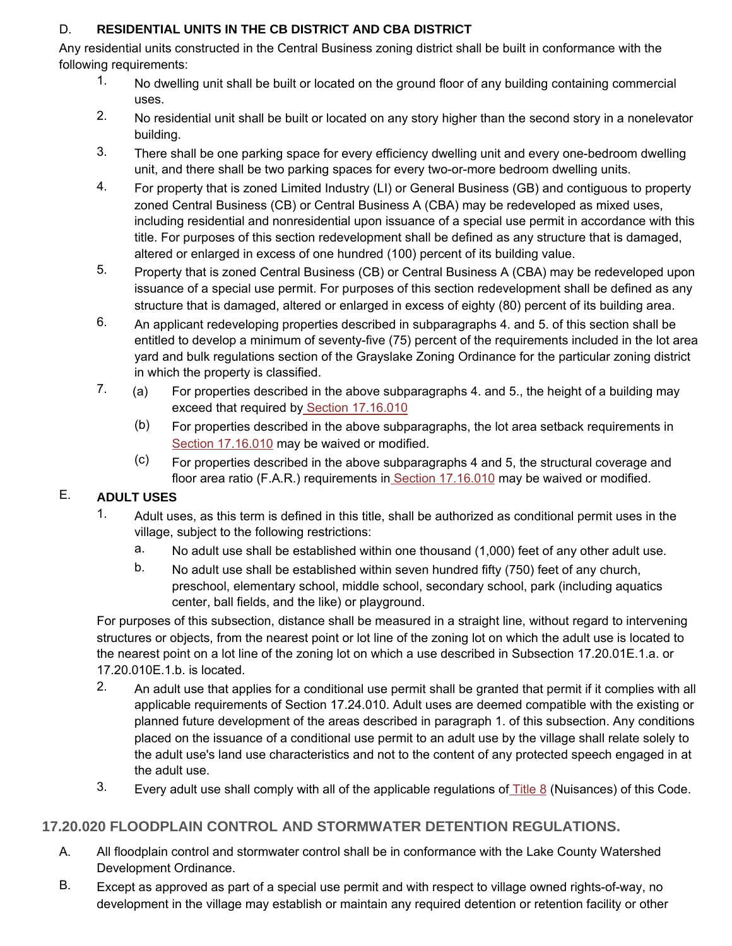#### D. **RESIDENTIAL UNITS IN THE CB DISTRICT AND CBA DISTRICT**

Any residential units constructed in the Central Business zoning district shall be built in conformance with the following requirements:

- 1. No dwelling unit shall be built or located on the ground floor of any building containing commercial uses.
- 2. No residential unit shall be built or located on any story higher than the second story in a nonelevator building.
- 3. There shall be one parking space for every efficiency dwelling unit and every one-bedroom dwelling unit, and there shall be two parking spaces for every two-or-more bedroom dwelling units.
- 4. For property that is zoned Limited Industry (LI) or General Business (GB) and contiguous to property zoned Central Business (CB) or Central Business A (CBA) may be redeveloped as mixed uses, including residential and nonresidential upon issuance of a special use permit in accordance with this title. For purposes of this section redevelopment shall be defined as any structure that is damaged, altered or enlarged in excess of one hundred (100) percent of its building value.
- 5. Property that is zoned Central Business (CB) or Central Business A (CBA) may be redeveloped upon issuance of a special use permit. For purposes of this section redevelopment shall be defined as any structure that is damaged, altered or enlarged in excess of eighty (80) percent of its building area.
- 6. An applicant redeveloping properties described in subparagraphs 4. and 5. of this section shall be entitled to develop a minimum of seventy-five (75) percent of the requirements included in the lot area yard and bulk regulations section of the Grayslake Zoning Ordinance for the particular zoning district in which the property is classified.
- $7.$  (a) For properties described in the above subparagraphs 4. and 5., the height of a building may exceed that required by Section 17.16.010
	- (b) For properties described in the above subparagraphs, the lot area setback requirements in Section 17.16.010 may be waived or modified.
	- (c) For properties described in the above subparagraphs 4 and 5, the structural coverage and floor area ratio (F.A.R.) requirements in **Section 17.16.010** may be waived or modified.

#### E. **ADULT USES**

- 1. Adult uses, as this term is defined in this title, shall be authorized as conditional permit uses in the village, subject to the following restrictions:
	- a. No adult use shall be established within one thousand (1,000) feet of any other adult use.
	- b. No adult use shall be established within seven hundred fifty (750) feet of any church, preschool, elementary school, middle school, secondary school, park (including aquatics center, ball fields, and the like) or playground.

For purposes of this subsection, distance shall be measured in a straight line, without regard to intervening structures or objects, from the nearest point or lot line of the zoning lot on which the adult use is located to the nearest point on a lot line of the zoning lot on which a use described in Subsection 17.20.01E.1.a. or 17.20.010E.1.b. is located.

- 2. An adult use that applies for a conditional use permit shall be granted that permit if it complies with all applicable requirements of Section 17.24.010. Adult uses are deemed compatible with the existing or planned future development of the areas described in paragraph 1. of this subsection. Any conditions placed on the issuance of a conditional use permit to an adult use by the village shall relate solely to the adult use's land use characteristics and not to the content of any protected speech engaged in at the adult use.
- 3. Every adult use shall comply with all of the applicable regulations of  $\overline{\text{Title 8}}$  (Nuisances) of this Code.

# **17.20.020 FLOODPLAIN CONTROL AND STORMWATER DETENTION REGULATIONS.**

- A. All floodplain control and stormwater control shall be in conformance with the Lake County Watershed Development Ordinance.
- B. Except as approved as part of a special use permit and with respect to village owned rights-of-way, no development in the village may establish or maintain any required detention or retention facility or other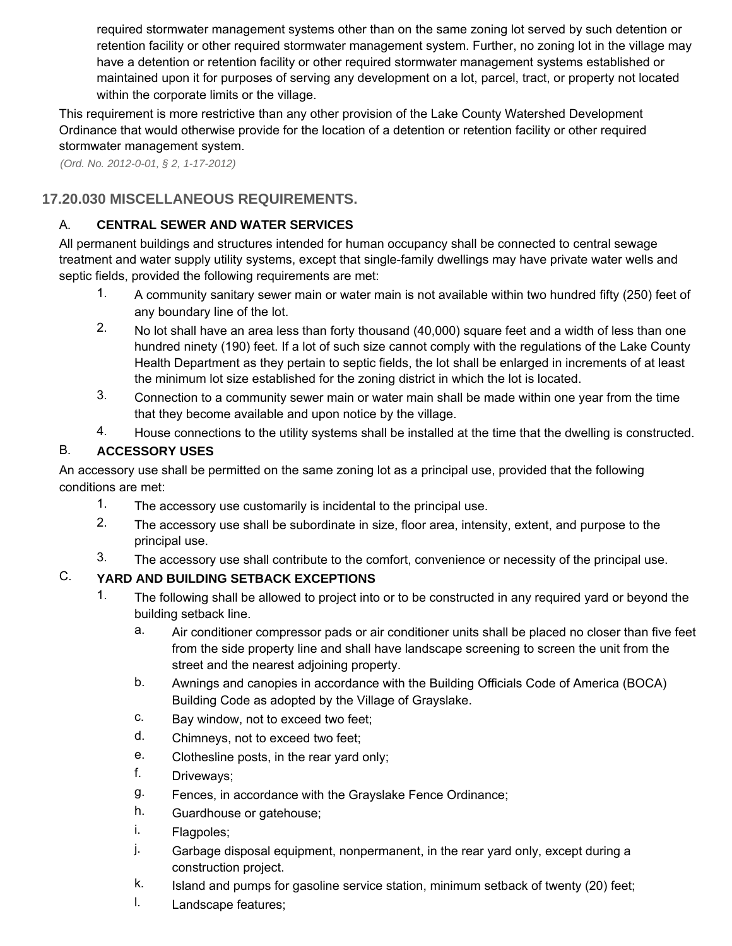required stormwater management systems other than on the same zoning lot served by such detention or retention facility or other required stormwater management system. Further, no zoning lot in the village may have a detention or retention facility or other required stormwater management systems established or maintained upon it for purposes of serving any development on a lot, parcel, tract, or property not located within the corporate limits or the village.

This requirement is more restrictive than any other provision of the Lake County Watershed Development Ordinance that would otherwise provide for the location of a detention or retention facility or other required stormwater management system.

*(Ord. No. 2012-0-01, § 2, 1-17-2012)* 

# **17.20.030 MISCELLANEOUS REQUIREMENTS.**

#### A. **CENTRAL SEWER AND WATER SERVICES**

All permanent buildings and structures intended for human occupancy shall be connected to central sewage treatment and water supply utility systems, except that single-family dwellings may have private water wells and septic fields, provided the following requirements are met:

- 1. A community sanitary sewer main or water main is not available within two hundred fifty (250) feet of any boundary line of the lot.
- 2. No lot shall have an area less than forty thousand (40,000) square feet and a width of less than one hundred ninety (190) feet. If a lot of such size cannot comply with the regulations of the Lake County Health Department as they pertain to septic fields, the lot shall be enlarged in increments of at least the minimum lot size established for the zoning district in which the lot is located.
- 3. Connection to a community sewer main or water main shall be made within one year from the time that they become available and upon notice by the village.
- 4. House connections to the utility systems shall be installed at the time that the dwelling is constructed.

#### B. **ACCESSORY USES**

An accessory use shall be permitted on the same zoning lot as a principal use, provided that the following conditions are met:

- 1. The accessory use customarily is incidental to the principal use.
- 2. The accessory use shall be subordinate in size, floor area, intensity, extent, and purpose to the principal use.
- 3. The accessory use shall contribute to the comfort, convenience or necessity of the principal use.

#### C. **YARD AND BUILDING SETBACK EXCEPTIONS**

- 1. The following shall be allowed to project into or to be constructed in any required yard or beyond the building setback line.
	- a. Air conditioner compressor pads or air conditioner units shall be placed no closer than five feet from the side property line and shall have landscape screening to screen the unit from the street and the nearest adjoining property.
	- b. Awnings and canopies in accordance with the Building Officials Code of America (BOCA) Building Code as adopted by the Village of Grayslake.
	- c. Bay window, not to exceed two feet;
	- d. Chimneys, not to exceed two feet;
	- e. Clothesline posts, in the rear yard only;
	- f. Driveways;
	- g. Fences, in accordance with the Grayslake Fence Ordinance;
	- h. Guardhouse or gatehouse;
	- i. Flagpoles;
	- j. Garbage disposal equipment, nonpermanent, in the rear yard only, except during a construction project.
	- k. Island and pumps for gasoline service station, minimum setback of twenty (20) feet;
	- l. Landscape features;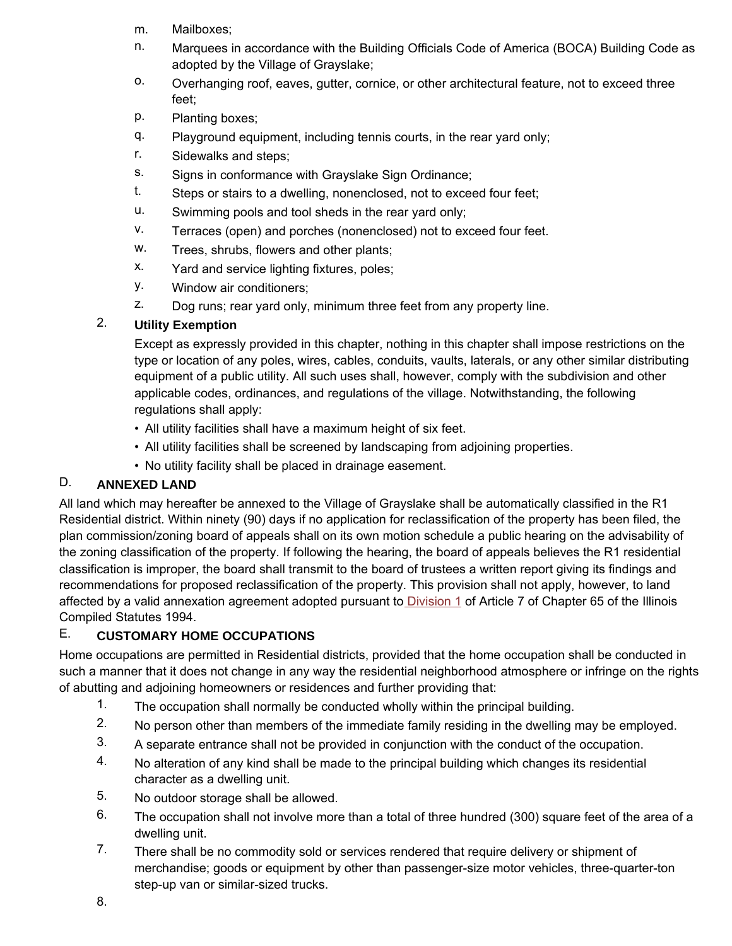- m. Mailboxes;
- n. Marquees in accordance with the Building Officials Code of America (BOCA) Building Code as adopted by the Village of Grayslake;
- o. Overhanging roof, eaves, gutter, cornice, or other architectural feature, not to exceed three feet;
- p. Planting boxes;
- q. Playground equipment, including tennis courts, in the rear yard only;
- r. Sidewalks and steps;
- s. Signs in conformance with Grayslake Sign Ordinance;
- t. Steps or stairs to a dwelling, nonenclosed, not to exceed four feet;
- u. Swimming pools and tool sheds in the rear yard only;
- v. Terraces (open) and porches (nonenclosed) not to exceed four feet.
- w. Trees, shrubs, flowers and other plants;
- x. Yard and service lighting fixtures, poles;
- y. Window air conditioners;
- z. Dog runs; rear yard only, minimum three feet from any property line.

#### 2. **Utility Exemption**

Except as expressly provided in this chapter, nothing in this chapter shall impose restrictions on the type or location of any poles, wires, cables, conduits, vaults, laterals, or any other similar distributing equipment of a public utility. All such uses shall, however, comply with the subdivision and other applicable codes, ordinances, and regulations of the village. Notwithstanding, the following regulations shall apply:

- All utility facilities shall have a maximum height of six feet.
- All utility facilities shall be screened by landscaping from adjoining properties.
- No utility facility shall be placed in drainage easement.

#### D. **ANNEXED LAND**

All land which may hereafter be annexed to the Village of Grayslake shall be automatically classified in the R1 Residential district. Within ninety (90) days if no application for reclassification of the property has been filed, the plan commission/zoning board of appeals shall on its own motion schedule a public hearing on the advisability of the zoning classification of the property. If following the hearing, the board of appeals believes the R1 residential classification is improper, the board shall transmit to the board of trustees a written report giving its findings and recommendations for proposed reclassification of the property. This provision shall not apply, however, to land affected by a valid annexation agreement adopted pursuant to Division 1 of Article 7 of Chapter 65 of the Illinois Compiled Statutes 1994.

#### E. **CUSTOMARY HOME OCCUPATIONS**

Home occupations are permitted in Residential districts, provided that the home occupation shall be conducted in such a manner that it does not change in any way the residential neighborhood atmosphere or infringe on the rights of abutting and adjoining homeowners or residences and further providing that:

- 1. The occupation shall normally be conducted wholly within the principal building.
- 2. No person other than members of the immediate family residing in the dwelling may be employed.
- 3. A separate entrance shall not be provided in conjunction with the conduct of the occupation.
- 4. No alteration of any kind shall be made to the principal building which changes its residential character as a dwelling unit.
- 5. No outdoor storage shall be allowed.
- 6. The occupation shall not involve more than a total of three hundred (300) square feet of the area of a dwelling unit.
- 7. There shall be no commodity sold or services rendered that require delivery or shipment of merchandise; goods or equipment by other than passenger-size motor vehicles, three-quarter-ton step-up van or similar-sized trucks.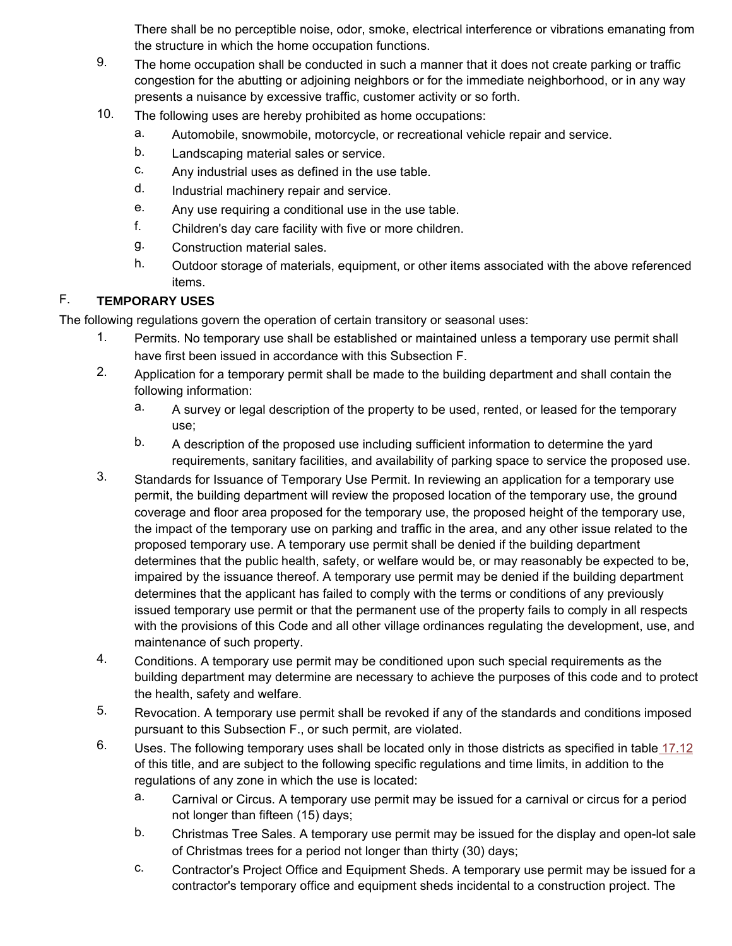There shall be no perceptible noise, odor, smoke, electrical interference or vibrations emanating from the structure in which the home occupation functions.

- 9. The home occupation shall be conducted in such a manner that it does not create parking or traffic congestion for the abutting or adjoining neighbors or for the immediate neighborhood, or in any way presents a nuisance by excessive traffic, customer activity or so forth.
- 10. The following uses are hereby prohibited as home occupations:
	- a. Automobile, snowmobile, motorcycle, or recreational vehicle repair and service.
	- b. Landscaping material sales or service.
	- c. Any industrial uses as defined in the use table.
	- d. Industrial machinery repair and service.
	- e. Any use requiring a conditional use in the use table.
	- f. Children's day care facility with five or more children.
	- g. Construction material sales.
	- h. Outdoor storage of materials, equipment, or other items associated with the above referenced items.

#### F. **TEMPORARY USES**

The following regulations govern the operation of certain transitory or seasonal uses:

- 1. Permits. No temporary use shall be established or maintained unless a temporary use permit shall have first been issued in accordance with this Subsection F.
- 2. Application for a temporary permit shall be made to the building department and shall contain the following information:
	- a. A survey or legal description of the property to be used, rented, or leased for the temporary use;
	- b. A description of the proposed use including sufficient information to determine the yard requirements, sanitary facilities, and availability of parking space to service the proposed use.
- 3. Standards for Issuance of Temporary Use Permit. In reviewing an application for a temporary use permit, the building department will review the proposed location of the temporary use, the ground coverage and floor area proposed for the temporary use, the proposed height of the temporary use, the impact of the temporary use on parking and traffic in the area, and any other issue related to the proposed temporary use. A temporary use permit shall be denied if the building department determines that the public health, safety, or welfare would be, or may reasonably be expected to be, impaired by the issuance thereof. A temporary use permit may be denied if the building department determines that the applicant has failed to comply with the terms or conditions of any previously issued temporary use permit or that the permanent use of the property fails to comply in all respects with the provisions of this Code and all other village ordinances regulating the development, use, and maintenance of such property.
- 4. Conditions. A temporary use permit may be conditioned upon such special requirements as the building department may determine are necessary to achieve the purposes of this code and to protect the health, safety and welfare.
- 5. Revocation. A temporary use permit shall be revoked if any of the standards and conditions imposed pursuant to this Subsection F., or such permit, are violated.
- 6. Uses. The following temporary uses shall be located only in those districts as specified in table 17.12 of this title, and are subject to the following specific regulations and time limits, in addition to the regulations of any zone in which the use is located:
	- a. Carnival or Circus. A temporary use permit may be issued for a carnival or circus for a period not longer than fifteen (15) days;
	- b. Christmas Tree Sales. A temporary use permit may be issued for the display and open-lot sale of Christmas trees for a period not longer than thirty (30) days;
	- c. Contractor's Project Office and Equipment Sheds. A temporary use permit may be issued for a contractor's temporary office and equipment sheds incidental to a construction project. The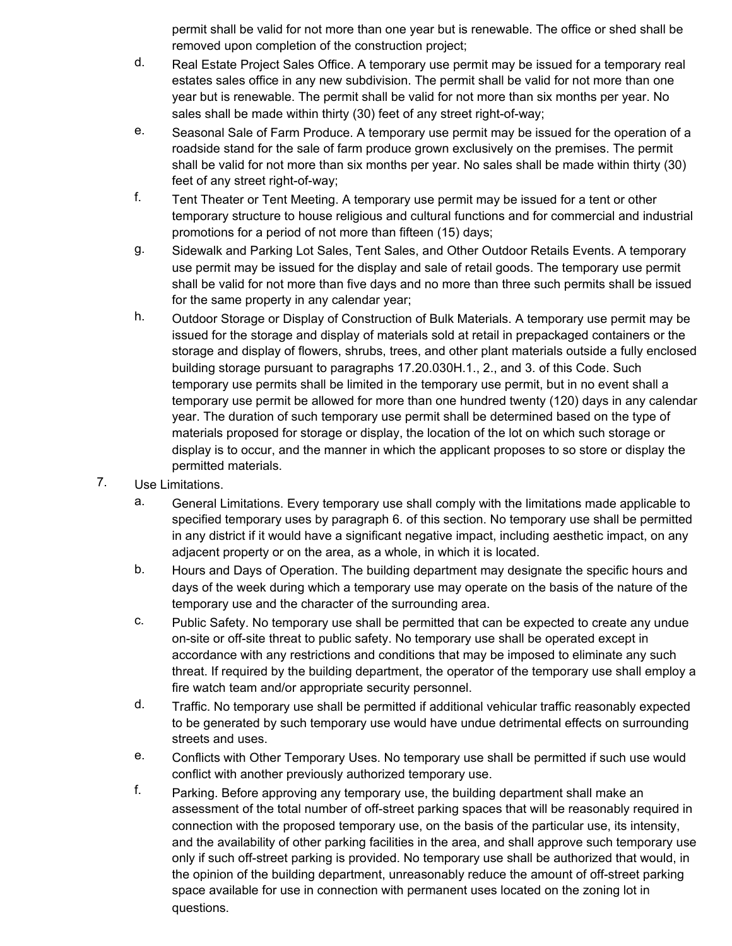permit shall be valid for not more than one year but is renewable. The office or shed shall be removed upon completion of the construction project;

- d. Real Estate Project Sales Office. A temporary use permit may be issued for a temporary real estates sales office in any new subdivision. The permit shall be valid for not more than one year but is renewable. The permit shall be valid for not more than six months per year. No sales shall be made within thirty (30) feet of any street right-of-way;
- e. Seasonal Sale of Farm Produce. A temporary use permit may be issued for the operation of a roadside stand for the sale of farm produce grown exclusively on the premises. The permit shall be valid for not more than six months per year. No sales shall be made within thirty (30) feet of any street right-of-way;
- f. Tent Theater or Tent Meeting. A temporary use permit may be issued for a tent or other temporary structure to house religious and cultural functions and for commercial and industrial promotions for a period of not more than fifteen (15) days;
- g. Sidewalk and Parking Lot Sales, Tent Sales, and Other Outdoor Retails Events. A temporary use permit may be issued for the display and sale of retail goods. The temporary use permit shall be valid for not more than five days and no more than three such permits shall be issued for the same property in any calendar year;
- h. Outdoor Storage or Display of Construction of Bulk Materials. A temporary use permit may be issued for the storage and display of materials sold at retail in prepackaged containers or the storage and display of flowers, shrubs, trees, and other plant materials outside a fully enclosed building storage pursuant to paragraphs 17.20.030H.1., 2., and 3. of this Code. Such temporary use permits shall be limited in the temporary use permit, but in no event shall a temporary use permit be allowed for more than one hundred twenty (120) days in any calendar year. The duration of such temporary use permit shall be determined based on the type of materials proposed for storage or display, the location of the lot on which such storage or display is to occur, and the manner in which the applicant proposes to so store or display the permitted materials.
- 7. Use Limitations.
	- a. General Limitations. Every temporary use shall comply with the limitations made applicable to specified temporary uses by paragraph 6. of this section. No temporary use shall be permitted in any district if it would have a significant negative impact, including aesthetic impact, on any adjacent property or on the area, as a whole, in which it is located.
	- b. Hours and Days of Operation. The building department may designate the specific hours and days of the week during which a temporary use may operate on the basis of the nature of the temporary use and the character of the surrounding area.
	- c. Public Safety. No temporary use shall be permitted that can be expected to create any undue on-site or off-site threat to public safety. No temporary use shall be operated except in accordance with any restrictions and conditions that may be imposed to eliminate any such threat. If required by the building department, the operator of the temporary use shall employ a fire watch team and/or appropriate security personnel.
	- d. Traffic. No temporary use shall be permitted if additional vehicular traffic reasonably expected to be generated by such temporary use would have undue detrimental effects on surrounding streets and uses.
	- e. Conflicts with Other Temporary Uses. No temporary use shall be permitted if such use would conflict with another previously authorized temporary use.
	- f. Parking. Before approving any temporary use, the building department shall make an assessment of the total number of off-street parking spaces that will be reasonably required in connection with the proposed temporary use, on the basis of the particular use, its intensity, and the availability of other parking facilities in the area, and shall approve such temporary use only if such off-street parking is provided. No temporary use shall be authorized that would, in the opinion of the building department, unreasonably reduce the amount of off-street parking space available for use in connection with permanent uses located on the zoning lot in questions.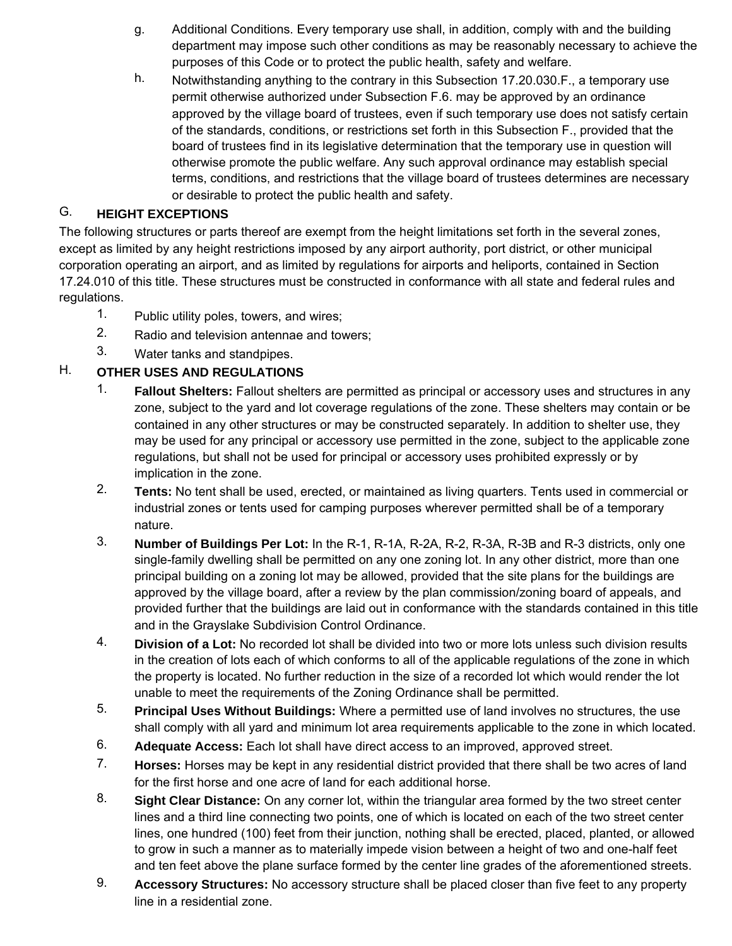- g. Additional Conditions. Every temporary use shall, in addition, comply with and the building department may impose such other conditions as may be reasonably necessary to achieve the purposes of this Code or to protect the public health, safety and welfare.
- h. Notwithstanding anything to the contrary in this Subsection 17.20.030.F., a temporary use permit otherwise authorized under Subsection F.6. may be approved by an ordinance approved by the village board of trustees, even if such temporary use does not satisfy certain of the standards, conditions, or restrictions set forth in this Subsection F., provided that the board of trustees find in its legislative determination that the temporary use in question will otherwise promote the public welfare. Any such approval ordinance may establish special terms, conditions, and restrictions that the village board of trustees determines are necessary or desirable to protect the public health and safety.

#### G. **HEIGHT EXCEPTIONS**

The following structures or parts thereof are exempt from the height limitations set forth in the several zones, except as limited by any height restrictions imposed by any airport authority, port district, or other municipal corporation operating an airport, and as limited by regulations for airports and heliports, contained in Section 17.24.010 of this title. These structures must be constructed in conformance with all state and federal rules and regulations.

- 1. Public utility poles, towers, and wires;
- 2. Radio and television antennae and towers;
- 3. Water tanks and standpipes.

#### H. **OTHER USES AND REGULATIONS**

- 1. **Fallout Shelters:** Fallout shelters are permitted as principal or accessory uses and structures in any zone, subject to the yard and lot coverage regulations of the zone. These shelters may contain or be contained in any other structures or may be constructed separately. In addition to shelter use, they may be used for any principal or accessory use permitted in the zone, subject to the applicable zone regulations, but shall not be used for principal or accessory uses prohibited expressly or by implication in the zone.
- 2. **Tents:** No tent shall be used, erected, or maintained as living quarters. Tents used in commercial or industrial zones or tents used for camping purposes wherever permitted shall be of a temporary nature.
- 3. **Number of Buildings Per Lot:** In the R-1, R-1A, R-2A, R-2, R-3A, R-3B and R-3 districts, only one single-family dwelling shall be permitted on any one zoning lot. In any other district, more than one principal building on a zoning lot may be allowed, provided that the site plans for the buildings are approved by the village board, after a review by the plan commission/zoning board of appeals, and provided further that the buildings are laid out in conformance with the standards contained in this title and in the Grayslake Subdivision Control Ordinance.
- 4. **Division of a Lot:** No recorded lot shall be divided into two or more lots unless such division results in the creation of lots each of which conforms to all of the applicable regulations of the zone in which the property is located. No further reduction in the size of a recorded lot which would render the lot unable to meet the requirements of the Zoning Ordinance shall be permitted.
- 5. **Principal Uses Without Buildings:** Where a permitted use of land involves no structures, the use shall comply with all yard and minimum lot area requirements applicable to the zone in which located.
- 6. **Adequate Access:** Each lot shall have direct access to an improved, approved street.
- 7. **Horses:** Horses may be kept in any residential district provided that there shall be two acres of land for the first horse and one acre of land for each additional horse.
- 8. **Sight Clear Distance:** On any corner lot, within the triangular area formed by the two street center lines and a third line connecting two points, one of which is located on each of the two street center lines, one hundred (100) feet from their junction, nothing shall be erected, placed, planted, or allowed to grow in such a manner as to materially impede vision between a height of two and one-half feet and ten feet above the plane surface formed by the center line grades of the aforementioned streets.
- 9. **Accessory Structures:** No accessory structure shall be placed closer than five feet to any property line in a residential zone.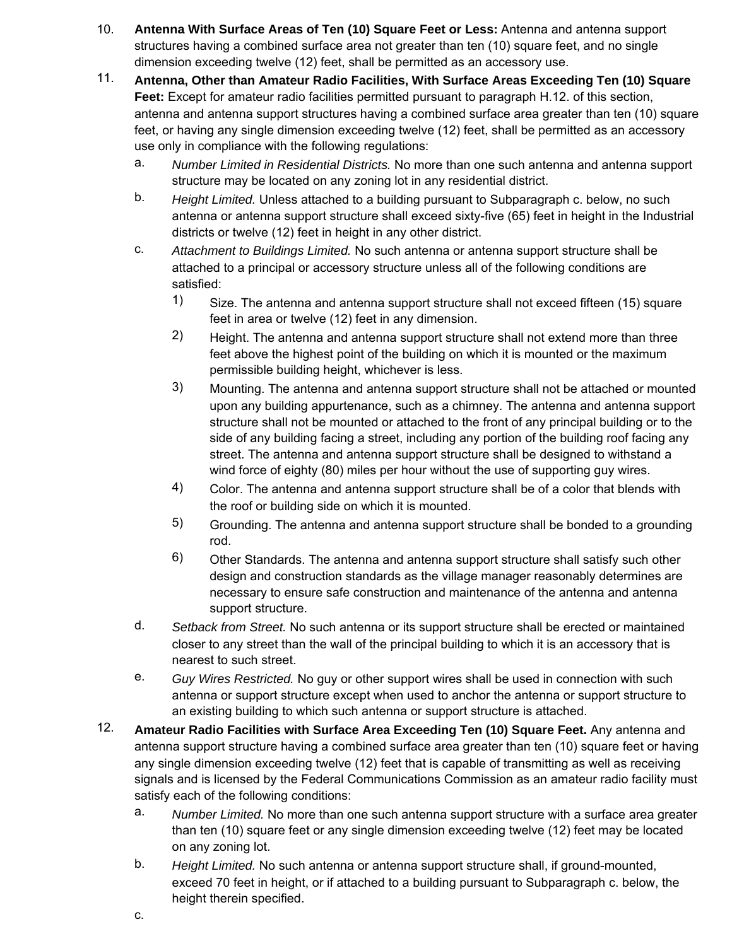- 10. **Antenna With Surface Areas of Ten (10) Square Feet or Less:** Antenna and antenna support structures having a combined surface area not greater than ten (10) square feet, and no single dimension exceeding twelve (12) feet, shall be permitted as an accessory use.
- 11. **Antenna, Other than Amateur Radio Facilities, With Surface Areas Exceeding Ten (10) Square Feet:** Except for amateur radio facilities permitted pursuant to paragraph H.12. of this section, antenna and antenna support structures having a combined surface area greater than ten (10) square feet, or having any single dimension exceeding twelve (12) feet, shall be permitted as an accessory use only in compliance with the following regulations:
	- a. *Number Limited in Residential Districts.* No more than one such antenna and antenna support structure may be located on any zoning lot in any residential district.
	- b. *Height Limited.* Unless attached to a building pursuant to Subparagraph c. below, no such antenna or antenna support structure shall exceed sixty-five (65) feet in height in the Industrial districts or twelve (12) feet in height in any other district.
	- c. *Attachment to Buildings Limited.* No such antenna or antenna support structure shall be attached to a principal or accessory structure unless all of the following conditions are satisfied:
		- 1) Size. The antenna and antenna support structure shall not exceed fifteen (15) square feet in area or twelve (12) feet in any dimension.
		- 2) Height. The antenna and antenna support structure shall not extend more than three feet above the highest point of the building on which it is mounted or the maximum permissible building height, whichever is less.
		- 3) Mounting. The antenna and antenna support structure shall not be attached or mounted upon any building appurtenance, such as a chimney. The antenna and antenna support structure shall not be mounted or attached to the front of any principal building or to the side of any building facing a street, including any portion of the building roof facing any street. The antenna and antenna support structure shall be designed to withstand a wind force of eighty (80) miles per hour without the use of supporting guy wires.
		- 4) Color. The antenna and antenna support structure shall be of a color that blends with the roof or building side on which it is mounted.
		- 5) Grounding. The antenna and antenna support structure shall be bonded to a grounding rod.
		- 6) Other Standards. The antenna and antenna support structure shall satisfy such other design and construction standards as the village manager reasonably determines are necessary to ensure safe construction and maintenance of the antenna and antenna support structure.
	- d. *Setback from Street.* No such antenna or its support structure shall be erected or maintained closer to any street than the wall of the principal building to which it is an accessory that is nearest to such street.
	- e. *Guy Wires Restricted.* No guy or other support wires shall be used in connection with such antenna or support structure except when used to anchor the antenna or support structure to an existing building to which such antenna or support structure is attached.
- 12. **Amateur Radio Facilities with Surface Area Exceeding Ten (10) Square Feet.** Any antenna and antenna support structure having a combined surface area greater than ten (10) square feet or having any single dimension exceeding twelve (12) feet that is capable of transmitting as well as receiving signals and is licensed by the Federal Communications Commission as an amateur radio facility must satisfy each of the following conditions:
	- a. *Number Limited.* No more than one such antenna support structure with a surface area greater than ten (10) square feet or any single dimension exceeding twelve (12) feet may be located on any zoning lot.
	- b. *Height Limited.* No such antenna or antenna support structure shall, if ground-mounted, exceed 70 feet in height, or if attached to a building pursuant to Subparagraph c. below, the height therein specified.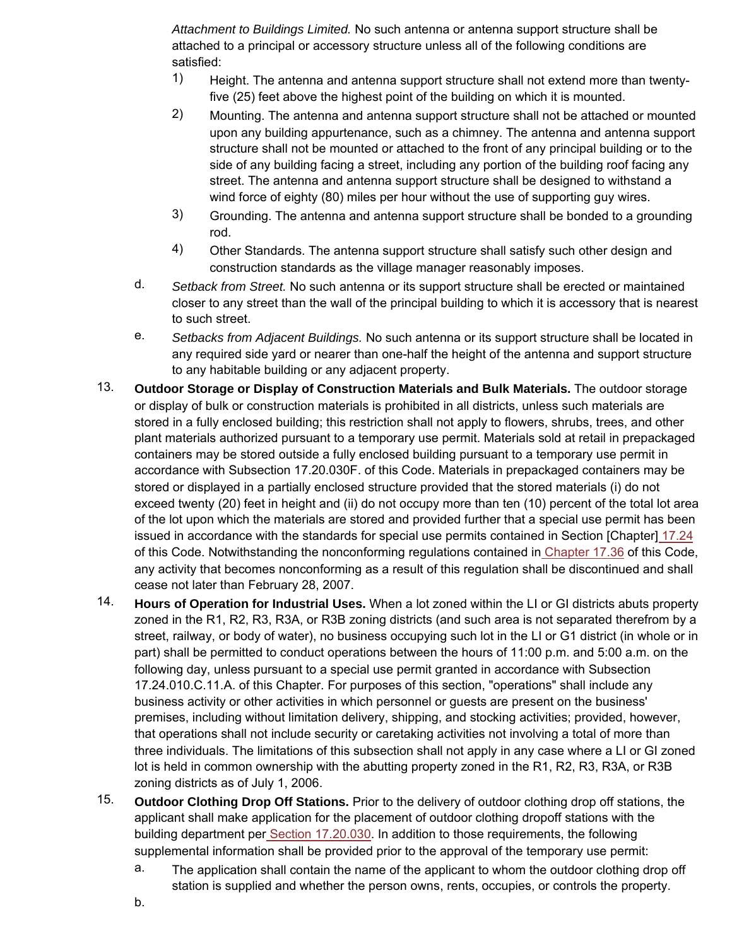*Attachment to Buildings Limited.* No such antenna or antenna support structure shall be attached to a principal or accessory structure unless all of the following conditions are satisfied:

- 1) Height. The antenna and antenna support structure shall not extend more than twentyfive (25) feet above the highest point of the building on which it is mounted.
- 2) Mounting. The antenna and antenna support structure shall not be attached or mounted upon any building appurtenance, such as a chimney. The antenna and antenna support structure shall not be mounted or attached to the front of any principal building or to the side of any building facing a street, including any portion of the building roof facing any street. The antenna and antenna support structure shall be designed to withstand a wind force of eighty (80) miles per hour without the use of supporting guy wires.
- 3) Grounding. The antenna and antenna support structure shall be bonded to a grounding rod.
- 4) Other Standards. The antenna support structure shall satisfy such other design and construction standards as the village manager reasonably imposes.
- d. *Setback from Street.* No such antenna or its support structure shall be erected or maintained closer to any street than the wall of the principal building to which it is accessory that is nearest to such street.
- e. *Setbacks from Adjacent Buildings.* No such antenna or its support structure shall be located in any required side yard or nearer than one-half the height of the antenna and support structure to any habitable building or any adjacent property.
- 13. **Outdoor Storage or Display of Construction Materials and Bulk Materials.** The outdoor storage or display of bulk or construction materials is prohibited in all districts, unless such materials are stored in a fully enclosed building; this restriction shall not apply to flowers, shrubs, trees, and other plant materials authorized pursuant to a temporary use permit. Materials sold at retail in prepackaged containers may be stored outside a fully enclosed building pursuant to a temporary use permit in accordance with Subsection 17.20.030F. of this Code. Materials in prepackaged containers may be stored or displayed in a partially enclosed structure provided that the stored materials (i) do not exceed twenty (20) feet in height and (ii) do not occupy more than ten (10) percent of the total lot area of the lot upon which the materials are stored and provided further that a special use permit has been issued in accordance with the standards for special use permits contained in Section [Chapter] 17.24 of this Code. Notwithstanding the nonconforming regulations contained in Chapter 17.36 of this Code, any activity that becomes nonconforming as a result of this regulation shall be discontinued and shall cease not later than February 28, 2007.
- 14. **Hours of Operation for Industrial Uses.** When a lot zoned within the LI or GI districts abuts property zoned in the R1, R2, R3, R3A, or R3B zoning districts (and such area is not separated therefrom by a street, railway, or body of water), no business occupying such lot in the LI or G1 district (in whole or in part) shall be permitted to conduct operations between the hours of 11:00 p.m. and 5:00 a.m. on the following day, unless pursuant to a special use permit granted in accordance with Subsection 17.24.010.C.11.A. of this Chapter. For purposes of this section, "operations" shall include any business activity or other activities in which personnel or guests are present on the business' premises, including without limitation delivery, shipping, and stocking activities; provided, however, that operations shall not include security or caretaking activities not involving a total of more than three individuals. The limitations of this subsection shall not apply in any case where a LI or GI zoned lot is held in common ownership with the abutting property zoned in the R1, R2, R3, R3A, or R3B zoning districts as of July 1, 2006.
- 15. **Outdoor Clothing Drop Off Stations.** Prior to the delivery of outdoor clothing drop off stations, the applicant shall make application for the placement of outdoor clothing dropoff stations with the building department per Section 17.20.030. In addition to those requirements, the following supplemental information shall be provided prior to the approval of the temporary use permit:
	- a. The application shall contain the name of the applicant to whom the outdoor clothing drop off station is supplied and whether the person owns, rents, occupies, or controls the property.